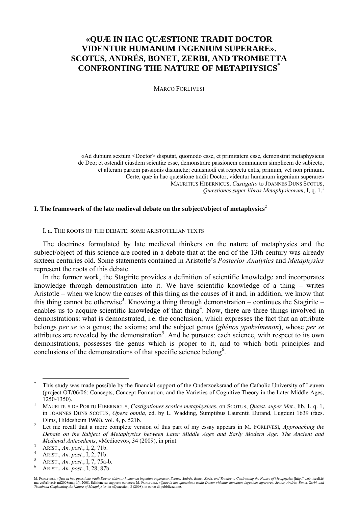# **«QUÆ IN HAC QUÆSTIONE TRADIT DOCTOR VIDENTUR HUMANUM INGENIUM SUPERARE». SCOTUS, ANDRÉS, BONET, ZERBI, AND TROMBETTA CONFRONTING THE NATURE OF METAPHYSICS\***

MARCO FORLIVESI

«Ad dubium sextum <Doctor> disputat, quomodo esse, et primitatem esse, demonstrat metaphysicus de Deo; et ostendit eiusdem scientiæ esse, demonstrare passionem communem simplicem de subiecto, et alteram partem passionis disiunctæ; cuiusmodi est respectu entis, primum, vel non primum. Certe, quæ in hac quæstione tradit Doctor, videntur humanum ingenium superare» MAURITIUS HIBERNICUS, *Castigatio* to JOANNES DUNS SCOTUS, *Quæstiones super libros Metaphysicorum, I, q, 1.<sup>1</sup>* 

# **I. The framework of the late medieval debate on the subject/object of metaphysics<sup>2</sup>**

I. a. THE ROOTS OF THE DEBATE: SOME ARISTOTELIAN TEXTS

The doctrines formulated by late medieval thinkers on the nature of metaphysics and the subject/object of this science are rooted in a debate that at the end of the 13th century was already sixteen centuries old. Some statements contained in Aristotle's *Posterior Analytics* and *Metaphysics* represent the roots of this debate.

In the former work, the Stagirite provides a definition of scientific knowledge and incorporates knowledge through demonstration into it. We have scientific knowledge of a thing – writes Aristotle – when we know the causes of this thing as the causes of it and, in addition, we know that this thing cannot be otherwise<sup>3</sup>. Knowing a thing through demonstration – continues the Stagirite – enables us to acquire scientific knowledge of that thing<sup>4</sup>. Now, there are three things involved in demonstrations: what is demonstrated, i.e. the conclusion, which expresses the fact that an attribute belongs *per se* to a genus; the axioms; and the subject genus (*ghénos ypokeímenon*), whose *per se*  attributes are revealed by the demonstration<sup>5</sup>. And he pursues: each science, with respect to its own demonstrations, possesses the genus which is proper to it, and to which both principles and conclusions of the demonstrations of that specific science belong<sup>6</sup>.

<sup>\*</sup> This study was made possible by the financial support of the Onderzoeksraad of the Catholic University of Leuven (project OT/06/06: Concepts, Concept Formation, and the Varieties of Cognitive Theory in the Later Middle Ages, 1250-1350). 1

MAURITIUS DE PORTU HIBERNICUS, *Castigationes scotice metaphysices*, on SCOTUS, *Quæst. super Met.*, lib. 1, q. 1, in JOANNES DUNS SCOTUS, *Opera omnia*, ed. by L. Wadding, Sumptibus Laurentii Durand, Lugduni 1639 (facs. Olms, Hildesheim 1968), vol. 4, p. 521b.

Let me recall that a more complete version of this part of my essay appears in M. FORLIVESI, *Approaching the Debate on the Subject of Metaphysics between Later Middle Ages and Early Modern Age: The Ancient and Medieval Antecedents*, «Medioevo», 34 (2009), in print.

ARIST., *An. post.*, I, 2, 71b. 4

<sup>&</sup>lt;sup>4</sup> ARIST., *An. post.*, I, 2, 71b.

<sup>&</sup>lt;sup>5</sup> ARIST., *An. post.*, I, 7, 75a-b.

ARIST., *An. post.*, I, 28, 87b.

M. FORLIVESI, «Quæ in hac quæstione tradit Doctor videntur humanum ingenium superare». Scotus, Andrés, Bonet, Zerbi, and Trombetta Confronting the Nature of Metaphysics [http:// web.tiscali.it/<br>marcoforlivesi/ mi2008cm.pdf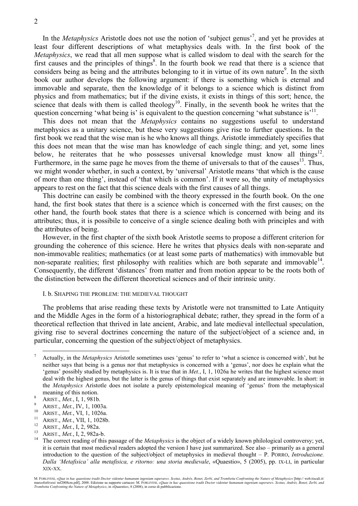In the *Metaphysics* Aristotle does not use the notion of 'subject genus'<sup>7</sup>, and yet he provides at least four different descriptions of what metaphysics deals with. In the first book of the *Metaphysics*, we read that all men suppose what is called wisdom to deal with the search for the first causes and the principles of things $\delta$ . In the fourth book we read that there is a science that considers being as being and the attributes belonging to it in virtue of its own nature<sup>9</sup>. In the sixth book our author develops the following argument: if there is something which is eternal and immovable and separate, then the knowledge of it belongs to a science which is distinct from physics and from mathematics; but if the divine exists, it exists in things of this sort; hence, the science that deals with them is called theology<sup>10</sup>. Finally, in the seventh book he writes that the question concerning 'what being is' is equivalent to the question concerning 'what substance is'<sup>11</sup>.

This does not mean that the *Metaphysics* contains no suggestions useful to understand metaphysics as a unitary science, but these very suggestions give rise to further questions. In the first book we read that the wise man is he who knows all things. Aristotle immediately specifies that this does not mean that the wise man has knowledge of each single thing; and yet, some lines below, he reiterates that he who possesses universal knowledge must know all things<sup>12</sup>. Furthermore, in the same page he moves from the theme of universals to that of the causes $^{13}$ . Thus, we might wonder whether, in such a context, by 'universal' Aristotle means 'that which is the cause of more than one thing', instead of 'that which is common'. If it were so, the unity of metaphysics appears to rest on the fact that this science deals with the first causes of all things.

This doctrine can easily be combined with the theory expressed in the fourth book. On the one hand, the first book states that there is a science which is concerned with the first causes; on the other hand, the fourth book states that there is a science which is concerned with being and its attributes; thus, it is possibile to conceive of a single science dealing both with principles and with the attributes of being.

However, in the first chapter of the sixth book Aristotle seems to propose a different criterion for grounding the coherence of this science. Here he writes that physics deals with non-separate and non-immovable realities; mathematics (or at least some parts of mathematics) with immovable but non-separate realities; first philosophy with realities which are both separate and immovable $14$ . Consequently, the different 'distances' from matter and from motion appear to be the roots both of the distinction between the different theoretical sciences and of their intrinsic unity.

#### I. b. SHAPING THE PROBLEM: THE MEDIEVAL THOUGHT

The problems that arise reading these texts by Aristotle were not transmitted to Late Antiquity and the Middle Ages in the form of a historiographical debate; rather, they spread in the form of a theoretical reflection that thrived in late ancient, Arabic, and late medieval intellectual speculation, giving rise to several doctrines concerning the nature of the subject/object of a science and, in particular, concerning the question of the subject/object of metaphysics.

 $\frac{1}{7}$  Actually, in the *Metaphysics* Aristotle sometimes uses 'genus' to refer to 'what a science is concerned with', but he neither says that being is a genus nor that metaphysics is concerned with a 'genus', nor does he explain what the 'genus' possibly studied by metaphysics is. It is true that in *Met.*, I, 1, 1026a he writes that the highest science must deal with the highest genus, but the latter is the genus of things that exist separately and are immovable. In short: in the *Metaphysics* Aristotle does not isolate a purely epistemological meaning of 'genus' from the metaphysical meaning of this notion.

<sup>&</sup>lt;sup>8</sup> ARIST., *Met.*, I, 1, 981b.<br><sup>9</sup> ARIST., *Met.*, IV, 1, 1003a.

ARIST., Met., VI, 1, 1026a.<br>
ARIST., Met., VII, 1, 1028b.<br>
ARIST., Met., I, 2, 982a.<br>
ARIST., Met., I, 2, 982a.<br>
ARIST., Met., I, 2, 982a-b.<br>
<sup>13</sup> ARIST., Met., I, 2, 982a-b.<br>
<sup>14</sup> The correct reading of this passage of t it is certain that most medieval readers adopted the version I have just summarized. See also – primarily as a general introduction to the question of the subject/object of metaphysics in medieval thought – P. PORRO, *Introduzione. Dalla 'Metafisica' alla metafisica, e ritorno: una storia medievale*, «Quaestio», 5 (2005), pp. IX-LI, in particular XIX-XX.

M. FORLIVESI, «Quæ in hac quæstione tradit Doctor videntur humanum ingenium superare». Scotus, Andrés, Bonet, Zerbi, and Trombetta Confronting the Nature of Metaphysics [http:// web.tiscali.it/<br>marcoforlivesi/ mf2008cm.pdf *Trombetta Confronting the Nature of Metaphysics*, in «Quaestio», 8 (2008), in corso di pubblicazione.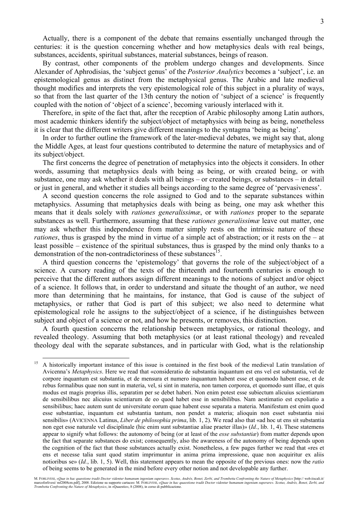Actually, there is a component of the debate that remains essentially unchanged through the centuries: it is the question concerning whether and how metaphysics deals with real beings, substances, accidents, spiritual substances, material substances, beings of reason.

By contrast, other components of the problem undergo changes and developments. Since Alexander of Aphrodisias, the 'subject genus' of the *Posterior Analytics* becomes a 'subject', i.e. an epistemological genus as distinct from the metaphysical genus. The Arabic and late medieval thought modifies and interprets the very epistemological role of this subject in a plurality of ways, so that from the last quarter of the 13th century the notion of 'subject of a science' is frequently coupled with the notion of 'object of a science', becoming variously interlaced with it.

Therefore, in spite of the fact that, after the reception of Arabic philosophy among Latin authors, most academic thinkers identify the subject/object of metaphysics with being as being, nonetheless it is clear that the different writers give different meanings to the syntagma 'being as being'.

In order to further outline the framework of the later-medieval debates, we might say that, along the Middle Ages, at least four questions contributed to determine the nature of metaphysics and of its subject/object.

The first concerns the degree of penetration of metaphysics into the objects it considers. In other words, assuming that metaphysics deals with being as being, or with created being, or with substance, one may ask whether it deals with all beings – or created beings, or substances – in detail or just in general, and whether it studies all beings according to the same degree of 'pervasiveness'.

A second question concerns the role assigned to God and to the separate substances within metaphysics. Assuming that metaphysics deals with being as being, one may ask whether this means that it deals solely with *rationes generalissimæ*, or with *rationes* proper to the separate substances as well. Furthermore, assuming that these *rationes generalissimæ* leave out matter, one may ask whether this independence from matter simply rests on the intrinsic nature of these *rationes*, thus is grasped by the mind in virtue of a simple act of abstraction; or it rests on the – at least possible – existence of the spiritual substances, thus is grasped by the mind only thanks to a demonstration of the non-contradictoriness of these substances<sup>15</sup>.

A third question concerns the 'epistemology' that governs the role of the subject/object of a science. A cursory reading of the texts of the thirteenth and fourteenth centuries is enough to perceive that the different authors assign different meanings to the notions of subject and/or object of a science. It follows that, in order to understand and situate the thought of an author, we need more than determining that he maintains, for instance, that God is cause of the subject of metaphysics, or rather that God is part of this subject; we also need to determine what epistemological role he assigns to the subject/object of a science, if he distinguishes between subject and object of a science or not, and how he presents, or removes, this distinction.

A fourth question concerns the relationship between metaphysics, or rational theology, and revealed theology. Assuming that both metaphysics (or at least rational theology) and revealed theology deal with the separate substances, and in particular with God, what is the relationship

<sup>&</sup>lt;sup>15</sup> A historically important instance of this issue is contained in the first book of the medieval Latin translation of Avicenna's *Metaphysics*. Here we read that «consideratio de substantia inquantum est ens vel est substantia, vel de corpore inquantum est substantia, et de mensura et numero inquantum habent esse et quomodo habent esse, et de rebus formalibus quae non sunt in materia, vel, si sint in materia, non tamen corporea, et quomodo sunt illae, et quis modus est magis proprius illis, separatim per se debet haberi. Non enim potest esse subiectum alicuius scientiarum de sensibilibus nec alicuius scientiarum de eo quod habet esse in sensibilibus. Nam aestimatio est expoliatio a sensibilibus; haec autem sunt de universitate eorum quae habent esse separata a materia. Manifestum est enim quod esse substantiae, inquantum est substantia tantum, non pendet a materia; alioquin non esset substantia nisi sensibilis» (AVICENNA Latinus, *Liber de philosophia prima*, lib. 1, 2). We read also that «ad hoc ut ens sit substantia non eget esse naturale vel disciplinale (hic enim sunt substantiae aliae praeter illas)» (*Id.*, lib. 1, 4). These statemens appear to signify what follows: the autonomy of being (or at least of the *esse substantiæ*) from matter depends upon the fact that separate substances do exist; consequently, also the awareness of the autonomy of being depends upon the cognition of the fact that those substances actually exist. Nonetheless, a few pages further we read that «res et ens et necesse talia sunt quod statim imprimuntur in anima prima impressione, quae non acquiritur ex aliis notioribus se» (*Id.*, lib. 1, 5). Well, this statement appears to mean the opposite of the previous ones: now the *ratio* of being seems to be generated in the mind before every other notion and not developable any further.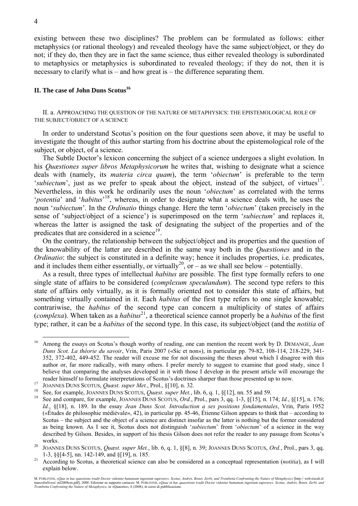existing between these two disciplines? The problem can be formulated as follows: either metaphysics (or rational theology) and revealed theology have the same subject/object, or they do not; if they do, then they are in fact the same science, thus either revealed theology is subordinated to metaphysics or metaphysics is subordinated to revealed theology; if they do not, then it is necessary to clarify what is – and how great is – the difference separating them.

## **II. The case of John Duns Scotus<sup>16</sup>**

II. a. APPROACHING THE QUESTION OF THE NATURE OF METAPHYSICS: THE EPISTEMOLOGICAL ROLE OF THE SUBJECT/OBJECT OF A SCIENCE

In order to understand Scotus's position on the four questions seen above, it may be useful to investigate the thought of this author starting from his doctrine about the epistemological role of the subject, or object, of a science.

The Subtle Doctor's lexicon concerning the subject of a science undergoes a slight evolution. In his *Quæstiones super libros Metaphysicorum* he writes that, wishing to designate what a science deals with (namely, its *materia circa quam*), the term '*obiectum*' is preferable to the term '*subiectum*', just as we prefer to speak about the object, instead of the subject, of virtues<sup>17</sup>. Nevertheless, in this work he ordinarily uses the noun '*obiectum*' as correlated with the terms '*potentia*' and '*habitus*' 18, whereas, in order to designate what a science deals with, he uses the noun '*subiectum*'. In the *Ordinatio* things change. Here the term '*obiectum*' (taken precisely in the sense of 'subject/object of a science') is superimposed on the term '*subiectum*' and replaces it, whereas the latter is assigned the task of designating the subject of the properties and of the predicates that are considered in a science<sup>19</sup>.

On the contrary, the relationship between the subject/object and its properties and the question of the knowability of the latter are described in the same way both in the *Quæstiones* and in the *Ordinatio*: the subject is constituted in a definite way; hence it includes properties, i.e. predicates, and it includes them either essentially, or virtually<sup>20</sup>, or – as we shall see below – potentially.

As a result, three types of intellectual *habitus* are possible. The first type formally refers to one single state of affairs to be considered (*complexum speculandum*). The second type refers to this state of affairs only virtually, as it is formally oriented not to consider this state of affairs, but something virtually contained in it. Each *habitus* of the first type refers to one single knowable; contrariwise, the *habitus* of the second type can concern a multiplicity of states of affairs (*complexa*). When taken as a *habitus*<sup>21</sup>, a theoretical science cannot properly be a *habitus* of the first type; rather, it can be a *habitus* of the second type. In this case, its subject/object (and the *notitia* of

 <sup>16</sup> Among the essays on Scotus's though worthy of reading, one can mention the recent work by D. DEMANGE, *Jean Duns Scot. La théorie du savoir*, Vrin, Paris 2007 («Sic et non»), in particular pp. 79-82, 108-114, 218-229, 341- 352, 372-402, 449-452. The reader will excuse me for not discussing the theses about which I disagree with this author or, far more radically, with many others. I prefer merely to suggest to examine that good study, since I believe that comparing the analyses developed in it with those I develop in the present article will encourage the reader himself to formulate interpretations of Scotus's doctrines sharper than those presented up to now.

JOANNES DUNS SCOTUS, Quast. super Met., Prol., §[10], n. 32.<br><sup>18</sup> See, for example, JOANNES DUNS SCOTUS, Quast. super Met., lib. 6, q. 1, §[12], nn. 55 and 59.<br><sup>19</sup> See and compare, for example, JOANNES DUNS SCOTUS, Ord., *Id.*, §[18], n. 189. In the essay *Jean Duns Scot. Introduction a ses positions fondamentales*, Vrin, Paris 1952 («Études de philosophie médiévale», 42), in particular pp. 45-46, Étienne Gilson appears to think that – according to Scotus – the subject and the object of a science are distinct insofar as the latter is nothing but the former considered as being known. As I see it, Scotus does not distinguish '*subiectum*' from '*obiectum*' of a science in the way described by Gilson. Besides, in support of his thesis Gilson does not refer the reader to any passage from Scotus's

works. 20 JOANNES DUNS SCOTUS, *Quæst. super Met.*, lib. 6, q. 1, §[8], n. 39; JOANNES DUNS SCOTUS, *Ord.*, Prol., pars 3, qq.

<sup>1-3, §§[4-5],</sup> nn. 142-149, and §[19], n. 185. 21 According to Scotus, a theoretical science can also be considered as a conceptual representation (*notitia*), as I will explain below.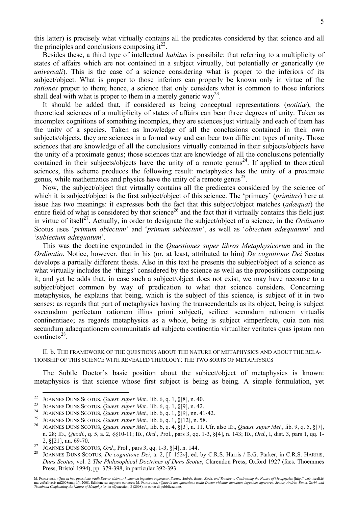Besides these, a third type of intellectual *habitus* is possibile: that referring to a multiplicity of states of affairs which are not contained in a subject virtually, but potentially or generically (*in universali*). This is the case of a science considering what is proper to the inferiors of its subject/object. What is proper to those inferiors can properly be known only in virtue of the *rationes* proper to them; hence, a science that only considers what is common to those inferiors shall deal with what is proper to them in a merely generic way<sup>23</sup>.

It should be added that, if considered as being conceptual representations (*notitiæ*), the theoretical sciences of a multiplicity of states of affairs can bear three degrees of unity. Taken as incomplex cognitions of something incomplex, they are sciences just virtually and each of them has the unity of a species. Taken as knowledge of all the conclusions contained in their own subjects/objects, they are sciences in a formal way and can bear two different types of unity. Those sciences that are knowledge of all the conclusions virtually contained in their subjects/objects have the unity of a proximate genus; those sciences that are knowledge of all the conclusions potentially contained in their subjects/objects have the unity of a remote genus<sup>24</sup>. If applied to theoretical sciences, this scheme produces the following result: metaphysics has the unity of a proximate genus, while mathematics and physics have the unity of a remote genus<sup>25</sup>.

Now, the subject/object that virtually contains all the predicates considered by the science of which it is subject/object is the first subject/object of this science. The 'primacy' (*primitas*) here at issue has two meanings: it expresses both the fact that this subject/object matches (*adæquat*) the entire field of what is considered by that science<sup>26</sup> and the fact that it virtually contains this field just in virtue of itself<sup>27</sup>. Actually, in order to designate the subject/object of a science, in the *Ordinatio* Scotus uses '*primum obiectum*' and '*primum subiectum*', as well as '*obiectum adæquatum*' and '*subiectum adæquatum*'.

This was the doctrine expounded in the *Quæstiones super libros Metaphysicorum* and in the *Ordinatio*. Notice, however, that in his (or, at least, attributed to him) *De cognitione Dei* Scotus develops a partially different thesis. Also in this text he presents the subject/object of a science as what virtually includes the 'things' considered by the science as well as the propositions composing it; and yet he adds that, in case such a subject/object does not exist, we may have recourse to a subject/object common by way of predication to what that science considers. Concerning metaphysics, he explains that being, which is the subject of this science, is subject of it in two senses: as regards that part of metaphysics having the transcendentals as its object, being is subject «secundum perfectam rationem illius primi subjecti, scilicet secundum rationem virtualis continentiae»; as regards metaphysics as a whole, being is subject «imperfecte, quia non nisi secundum adaequationem communitatis ad subjecta continentia virtualiter veritates quas ipsum non continet»28.

II. b. THE FRAMEWORK OF THE QUESTIONS ABOUT THE NATURE OF METAPHYSICS AND ABOUT THE RELA-TIONSHIP OF THIS SCIENCE WITH REVEALED THEOLOGY: THE TWO SORTS OF METAPHYSICS

The Subtle Doctor's basic position about the subiect/object of metaphysics is known: metaphysics is that science whose first subject is being as being. A simple formulation, yet

<sup>&</sup>lt;sup>22</sup> JOANNES DUNS SCOTUS, *Quæst. super Met.*, lib. 6, q. 1, §[8], n. 40.<br><sup>23</sup> JOANNES DUNS SCOTUS, *Quæst. super Met.*, lib. 6, q. 1, §[9], n. 42.<br><sup>24</sup> JOANNES DUNS SCOTUS, *Quæst. super Met.*, lib. 6, q. 1, §[9], nn. 41 n. 28; ID., *Quodl.*, q. 5, a. 2, §§10-11; ID., *Ord.*, Prol., pars 3, qq. 1-3, §[4], n. 143; ID., *Ord.*, I, dist. 3, pars 1, qq. 1- 2, §[21], nn. 69-70. 27 JOANNES DUNS SCOTUS, *Ord.*, Prol., pars 3, qq. 1-3, §[4], n. 144. 28 JOANNES DUNS SCOTUS, *De cognitione Dei*, a. 2, [f. 152*v*], ed. by C.R.S. Harris / E.G. Parker, in C.R.S. HARRIS,

*Duns Scotus*, vol. 2 *The Philosophical Doctrines of Duns Scotus*, Clarendon Press, Oxford 1927 (facs. Thoemmes Press, Bristol 1994), pp. 379-398, in particular 392-393.

M. FORLIVESI, «Quæ in hac quæstione tradit Doctor videntur humanum ingenium superare». Scotus, Andrés, Bonet, Zerbi, and Trombetta Confronting the Nature of Metaphysics [http:// web.tiscali.it/<br>marcoforlivesi/ mi2008cm.pdf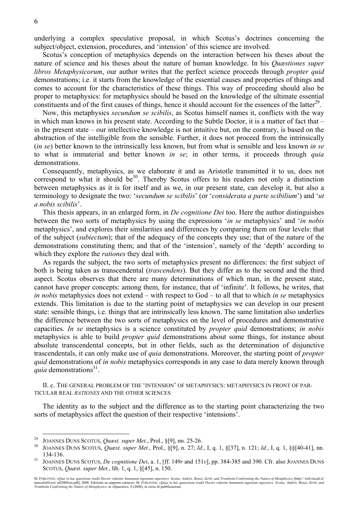underlying a complex speculative proposal, in which Scotus's doctrines concerning the subject/object, extension, procedures, and 'intension' of this science are involved.

Scotus's conception of metaphysics depends on the interaction between his theses about the nature of science and his theses about the nature of human knowledge. In his *Quæstiones super libros Metaphysicorum*, our author writes that the perfect science proceeds through *propter quid* demonstrations; i.e. it starts from the knowledge of the essential causes and properties of things and comes to account for the characteristics of these things. This way of proceeding should also be proper to metaphysics: for metaphysics should be based on the knowledge of the ultimate essential constituents and of the first causes of things, hence it should account for the essences of the latter<sup>29</sup>.

Now, this metaphysics *secundum se scibilis*, as Scotus himself names it, conflicts with the way in which man knows in his present state. According to the Subtle Doctor, it is a matter of fact that – in the present state – our intellective knowledge is not intuitive but, on the contrary, is based on the abstraction of the intelligible from the sensible. Further, it does not proceed from the intrinsically (*in se*) better known to the intrinsically less known, but from what is sensible and less known *in se* to what is immaterial and better known *in se*; in other terms, it proceeds through *quia* demonstrations.

Consequently, metaphysics, as we elaborate it and as Aristotle transmitted it to us, does not correspond to what it should be $30$ . Thereby Scotus offers to his readers not only a distinction between metaphysics as it is for itself and as we, in our present state, can develop it, but also a terminology to designate the two: '*secundum se scibilis*' (or '*considerata a parte scibilium*') and '*ut a nobis scibilis*'.

This thesis appears, in an enlarged form, in *De cognitione Dei* too. Here the author distinguishes between the two sorts of metaphysics by using the expressions '*in se* metaphysics' and '*in nobis*  metaphysics', and explores their similarities and differences by comparing them on four levels: that of the subject (*subiectum*); that of the adequacy of the concepts they use; that of the nature of the demonstrations constituting them; and that of the 'intension', namely of the 'depth' according to which they explore the *rationes* they deal with.

As regards the subject, the two sorts of metaphysics present no differences: the first subject of both is being taken as transcendental (*trascendens*). But they differ as to the second and the third aspect. Scotus observes that there are many determinations of which man, in the present state, cannot have proper concepts: among them, for instance, that of 'infinite'. It follows, he writes, that *in nobis* metaphysics does not extend – with respect to God – to all that to which *in se* metaphysics extends. This limitation is due to the starting point of metaphysics we can develop in our present state: sensible things, i.e. things that are intrinsically less known. The same limitation also underlies the difference between the two sorts of metaphysics on the level of procedures and demonstrative capacities. *In se* metaphysics is a science constituted by *propter quid* demonstrations; *in nobis* metaphysics is able to build *propter quid* demonstrations about some things, for instance about absolute transcendental concepts, but in other fields, such as the determination of disjunctive trascendentals, it can only make use of *quia* demonstrations. Moreover, the starting point of *propter quid* demonstrations of *in nobis* metaphysics corresponds in any case to data merely known through *quia* demonstrations<sup>31</sup>.

II. c. THE GENERAL PROBLEM OF THE 'INTENSION' OF METAPHYSICS: METAPHYSICS IN FRONT OF PAR-TICULAR REAL *RATIONES* AND THE OTHER SCIENCES

The identity as to the subject and the difference as to the starting point characterizing the two sorts of metaphysics affect the question of their respective 'intensions'.

 <sup>29</sup> JOANNES DUNS SCOTUS, *Quæst. super Met.*, Prol., §[9], nn. 25-26. 30 JOANNES DUNS SCOTUS, *Quæst. super Met.*, Prol., §[9], n. 27; *Id.*, I, q. 1, §[37], n. 121; *Id.*, I, q. 1, §§[40-41], nn.

<sup>134-136. 31</sup> JOANNES DUNS SCOTUS, *De cognitione Dei*, a. 1, [ff. 149*r* and 151*v*], pp. 384-385 and 390. Cfr. also JOANNES DUNS SCOTUS, *Quæst. super Met.*, lib. 1, q. 1, §[45], n. 150.

M. FORLIVESI, «Quæ in hac quæstione tradit Doctor videntur humanum ingenium superare». Scotus, Andrés, Bonet, Zerbi, and Trombetta Confronting the Nature of Metaphysics [http:// web.tiscali.it/<br>marcoforlivesi/ mi2008cm.pdf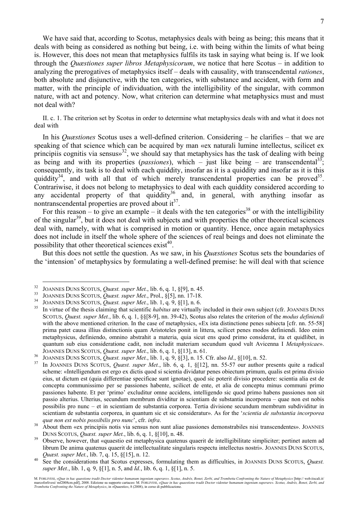We have said that, according to Scotus, metaphysics deals with being as being; this means that it deals with being as considered as nothing but being, i.e. with being within the limits of what being is. However, this does not mean that metaphysics fulfils its task in saying what being is. If we look through the *Quæstiones super libros Metaphysicorum*, we notice that here Scotus – in addition to analyzing the prerogatives of metaphysics itself – deals with causality, with transcendental *rationes*, both absolute and disjunctive, with the ten categories, with substance and accident, with form and matter, with the principle of individuation, with the intelligibility of the singular, with common nature, with act and potency. Now, what criterion can determine what metaphysics must and must not deal with?

II. c. 1. The criterion set by Scotus in order to determine what metaphysics deals with and what it does not deal with

In his *Quæstiones* Scotus uses a well-defined criterion. Considering – he clarifies – that we are speaking of that science which can be acquired by man «ex naturali lumine intellectus, scilicet ex principiis cognitis via sensus»<sup>32</sup>, we should say that metaphysics has the task of dealing with being as being and with its properties (*passiones*), which – just like being – are transcendental<sup>33</sup>; consequently, its task is to deal with each quiddity, insofar as it is a quiddity and insofar as it is this quiddity $34$ , and with all that of which merely transcendental properties can be proved $35$ . Contrariwise, it does not belong to metaphysics to deal with each quiddity considered according to any accidental property of that quiddity<sup>36</sup> and, in general, with anything insofar as nontranscendental properties are proved about  $it^{37}$ .

For this reason – to give an example – it deals with the ten categories<sup>38</sup> or with the intelligibility of the singular<sup>39</sup>, but it does not deal with subjects and with properties the other theoretical sciences deal with, namely, with what is comprised in motion or quantity. Hence, once again metaphysics does not include in itself the whole sphere of the sciences of real beings and does not eliminate the possibility that other theoretical sciences  $exist<sup>40</sup>$ .

But this does not settle the question. As we saw, in his *Quæstiones* Scotus sets the boundaries of the 'intension' of metaphysics by formulating a well-defined premise: he will deal with that science

<sup>&</sup>lt;sup>32</sup> JOANNES DUNS SCOTUS, *Quæst. super Met.*, lib. 6, q. 1, §[9], n. 45.<br><sup>33</sup> JOANNES DUNS SCOTUS, *Quæst. super Met.*, Prol., §[5], nn. 17-18.<br><sup>34</sup> JOANNES DUNS SCOTUS, *Quæst. super Met.*, lib. 1, q. 9, §[1], n. 6.<br><sup>35</sup> SCOTUS, *Quæst. super Met.*, lib. 6, q. 1, §§[8-9], nn. 39-42), Scotus also relates the criterion of the *modus definiendi* with the above mentioned criterion. In the case of metaphysics, «Ex ista distinctione penes subiecta [cfr. nn. 55-58] prima patet causa illius distinctionis quam Aristoteles ponit in littera, scilicet penes modos definiendi. Ideo enim metaphysicus, definiendo, omnino abstrahit a materia, quia sicut ens quod primo considerat, ita et quidlibet, in quantum sub eius consideratione cadit, non includit materiam secundum quod vult Avicenna I *Metaphysicae*».

JOANNES DUNS SCOTUS, *Quæst. super Met.*, lib. 6, q. 1, §[13], n. 61.<br>JOANNES DUNS SCOTUS, *Quæst. super Met.*, lib. 1, q. 9, §[3], n. 15. Cfr. also *Id.*, §[10], n. 52.<br>In JOANNES DUNS SCOTUS, *Quæst. super Met.*, lib. 6, scheme: «Intelligendum est ergo ex dictis quod si scientia dividatur penes obiectum primum, qualis est prima divisio eius, ut dictum est (quia differentiae specificae sunt ignotae), quod sic poterit divisio procedere: scientia alia est de conceptu communissimo per se passiones habente, scilicet de ente, et alia de conceptu minus communi primo passiones habente. Et per 'primo' excluditur omne accidens, intelligendo sic quod primo habens passiones non sit passio alterius. Ulterius, secundum membrum dividitur in scientiam de substantia incorporea – quae non est nobis possibilis pro nunc – et in scientiam de substantia corporea. Tertia divisione secundum membrum subdividitur in scientiam de substantia corporea, in quantum sic et sic consideratur». As for the '*scientia de substantia incorporea quae non est nobis possibilis pro nunc*', cfr. *infra*.

*quæ non est nobis possibilis pro nunc*', cfr. *infra*. 38 About them «ex principiis notis via sensus non sunt aliae passiones demonstrabiles nisi transcendentes». JOANNES DUNS SCOTUS, *Quæst. super Met.*, lib. 6, q. 1, §[10], n. 48.<br><sup>39</sup> Observe, however, that «quaestio est metaphysica quatenus quaerit de intelligibilitate simpliciter; pertinet autem ad

librum De anima quatenus quaerit de intellectualitate singularis respectu intellectus nostri». JOANNES DUNS SCOTUS,

*Quæst. super Met.*, lib. 7, q. 15, §[15], n. 12. See the considerations that Scotus expresses, formulating them as difficulties, in JOANNES DUNS SCOTUS, *Quæst.* <sup>40</sup> *super Met.*, lib. 1, q. 9, §[1], n. 5, and *Id.*, lib. 6, q. 1, §[1], n. 5.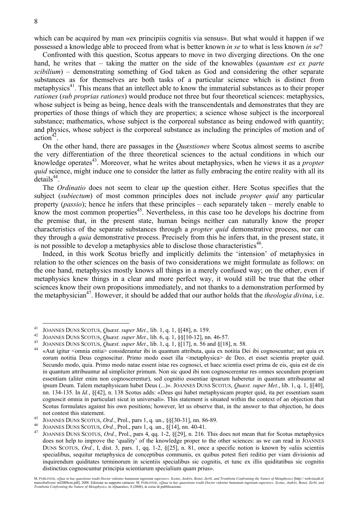which can be acquired by man «ex principiis cognitis via sensus». But what would it happen if we possessed a knowledge able to proceed from what is better known *in se* to what is less known *in se*?

Confronted with this question, Scotus appears to move in two diverging directions. On the one hand, he writes that – taking the matter on the side of the knowables (*quantum est ex parte scibilium*) – demonstrating something of God taken as God and considering the other separate substances as for themselves are both tasks of a particular science which is distinct from metaphysics<sup>41</sup>. This means that an intellect able to know the immaterial substances as to their proper *rationes* (*sub proprias rationes*) would produce not three but four theoretical sciences: metaphysics, whose subject is being as being, hence deals with the transcendentals and demonstrates that they are properties of those things of which they are properties; a science whose subject is the incorporeal substance; mathematics, whose subject is the corporeal substance as being endowed with quantity; and physics, whose subject is the corporeal substance as including the principles of motion and of  $\arctan^{42}$ .

On the other hand, there are passages in the *Quæstiones* where Scotus almost seems to ascribe the very differentiation of the three theoretical sciences to the actual conditions in which our knowledge operates<sup>43</sup>. Moreover, what he writes about metaphysics, when he views it as a *propter quid* science, might induce one to consider the latter as fully embracing the entire reality with all its  $details<sup>44</sup>$ .

The *Ordinatio* does not seem to clear up the question either. Here Scotus specifies that the subject (*subiectum*) of most common principles does not include *propter quid* any particular property (*passio*); hence he infers that these principles – each separately taken – merely enable to know the most common properties<sup>45</sup>. Nevertheless, in this case too he develops his doctrine from the premise that, in the present state, human beings neither can naturally know the proper characteristics of the separate substances through a *propter quid* demonstrative process, nor can they through a *quia* demonstrative process. Precisely from this he infers that, in the present state, it is not possible to develop a metaphysics able to disclose those characteristics<sup>46</sup>.

Indeed, in this work Scotus briefly and implicitly delimits the 'intension' of metaphysics in relation to the other sciences on the basis of two considerations we might formulate as follows: on the one hand, metaphysics mostly knows all things in a merely confused way; on the other, even if metaphysics knew things in a clear and more perfect way, it would still be true that the other sciences know their own propositions immediately, and not thanks to a demonstration performed by the metaphysician<sup>47</sup>. However, it should be added that our author holds that the *theologia divina*, i.e.

<sup>&</sup>lt;sup>41</sup> JOANNES DUNS SCOTUS, *Quæst. super Met.*, lib. 1, q. 1, §[48], n. 159.<br><sup>42</sup> JOANNES DUNS SCOTUS, *Quæst. super Met.*, lib. 6, q. 1, §§[10-12], nn. 46-57.<br><sup>43</sup> JOANNES DUNS SCOTUS, *Quæst. super Met.*, lib. 1, q. 1, § eorum notitia Deus cognoscitur. Primo modo esset illa <metaphysica> de Deo, et esset scientia propter quid. Secundo modo, quia. Primo modo natae essent istae res cognosci, et haec scientia esset prima de eis, quia est de eis in quantum attribuuntur ad simpliciter primum. Non sic quod ibi non cognoscerentur res omnes secundum propriam essentiam (aliter enim non cognoscerentur), sed cognitio essentiae ipsarum haberetur in quantum attribuuntur ad ipsum Deum. Talem metaphysicam habet Deus (...)». JOANNES DUNS SCOTUS, *Quæst. super Met.*, lib. 1, q. 1, §[40], nn. 134-135. In *Id.*, §[42], n. 138 Scotus adds: «Deus qui habet metaphysicam propter quid, ita per essentiam suam cognoscit omnia in particulari sicut in universali». This statement is situated within the context of an objection that Scotus formulates against his own positions; however, let us observe that, in the answer to that objection, he does

not contest this statement.<br>
<sup>45</sup> JOANNES DUNS SCOTUS, *Ord.*, Prol., pars 1, q. un., §§[30-31], nn. 86-89.<br>
<sup>46</sup> JOANNES DUNS SCOTUS, *Ord.*, Prol., pars 1, q. un., §[14], nn. 40-41.<br>
<sup>47</sup> JOANNES DUNS SCOTUS, *Ord.*, Pro does not help to improve the 'quality' of the knowledge proper to the other sciences: as we can read in JOANNES DUNS SCOTUS, *Ord.*, I, dist. 3, pars. 1, qq. 1-2, §[25], n. 81, once a specific notion is known by «aliis scientiis specialibus, sequitur metaphysica de conceptibus communis, ex quibus potest fieri reditio per viam divisionis ad inquirendum quiditates terminorum in scientiis specialibus sic cognitis, et tunc ex illis quiditatibus sic cognitis distinctius cognoscuntur principia scientiarum specialium quam prius».

M. FORLIVESI, «Quæ in hac quæstione tradit Doctor videntur humanum ingenium superare». Scotus, Andrés, Bonet, Zerbi, and Trombetta Confronting the Nature of Metaphysics [http:// web.tiscali.it/<br>marcoforlivesi/ mi2008cm.pdf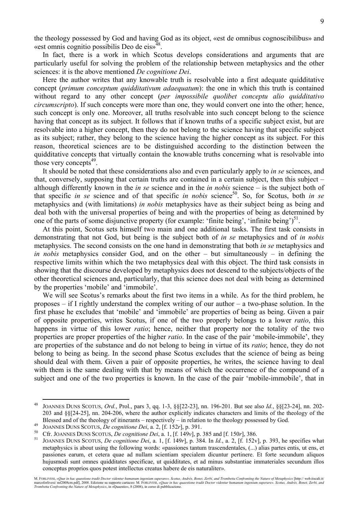the theology possessed by God and having God as its object, «est de omnibus cognoscibilibus» and «est omnis cognitio possibilis Deo de eis» $4^{\frac{3}{4}}$ 

In fact, there is a work in which Scotus develops considerations and arguments that are particularly useful for solving the problem of the relationship between metaphysics and the other sciences: it is the above mentioned *De cognitione Dei*.

Here the author writes that any knowable truth is resolvable into a first adequate quidditative concept (*primum conceptum quidditativum adaequatum*): the one in which this truth is contained without regard to any other concept (*per impossibile quolibet conceptu alio quidditativo circumscripto*). If such concepts were more than one, they would convert one into the other; hence, such concept is only one. Moreover, all truths resolvable into such concept belong to the science having that concept as its subject. It follows that if known truths of a specific subject exist, but are resolvable into a higher concept, then they do not belong to the science having that specific subject as its subject; rather, they belong to the science having the higher concept as its subject. For this reason, theoretical sciences are to be distinguished according to the distinction between the quidditative concepts that virtually contain the knowable truths concerning what is resolvable into those very concepts $^{49}$ .

It should be noted that these considerations also and even particularly apply to *in se* sciences, and that, conversely, supposing that certain truths are contained in a certain subject, then this subject – although differently known in the *in se* science and in the *in nobis* science – is the subject both of that specific *in se* science and of that specific *in nobis* science<sup>50</sup>. So, for Scotus, both *in se* metaphysics and (with limitations) *in nobis* metaphysics have as their subject being as being and deal both with the universal properties of being and with the properties of being as determined by one of the parts of some disjunctive property (for example: 'finite being', 'infinite being') $51$ .

At this point, Scotus sets himself two main and one additional tasks. The first task consists in demonstrating that not God, but being is the subject both of *in se* metaphysics and of *in nobis* metaphysics. The second consists on the one hand in demonstrating that both *in se* metaphysics and *in nobis* metaphysics consider God, and on the other – but simultaneously – in defining the respective limits within which the two metaphysics deal with this object. The third task consists in showing that the discourse developed by metaphysics does not descend to the subjects/objects of the other theoretical sciences and, particularly, that this science does not deal with being as determined by the properties 'mobile' and 'immobile'.

We will see Scotus's remarks about the first two items in a while. As for the third problem, he proposes – if I rightly understand the complex writing of our author – a two-phase solution. In the first phase he excludes that 'mobile' and 'immobile' are properties of being as being. Given a pair of opposite properties, writes Scotus, if one of the two properly belongs to a lower *ratio*, this happens in virtue of this lower *ratio*; hence, neither that property nor the totality of the two properties are proper properties of the higher *ratio*. In the case of the pair 'mobile-immobile', they are properties of the substance and do not belong to being in virtue of its *ratio*; hence, they do not belong to being as being. In the second phase Scotus excludes that the science of being as being should deal with them. Given a pair of opposite properties, he writes, the science having to deal with them is the same dealing with that by means of which the occurrence of the compound of a subject and one of the two properties is known. In the case of the pair 'mobile-immobile', that in

 <sup>48</sup> JOANNES DUNS SCOTUS, *Ord.*, Prol., pars 3, qq. 1-3, §§[22-23], nn. 196-201. But see also *Id.*, §§[23-24], nn. 202- 203 and §§[24-25], nn. 204-206, where the author explicitly indicates characters and limits of the theology of the

Blessed and of the theology of itinerants – respectively – in relation to the theology possessed by God.<br>
JOANNES DUNS SCOTUS, *De cognitione Dei*, a. 2, [f. 152*r*], p. 391.<br>
<sup>50</sup> Cfr. JOANNES DUNS SCOTUS, *De cognitione* metaphysics is about using the following words: «passiones tantum trascendentales, (...) alias partes entis, ut ens, et passiones earum, et cetera quae ad nullam scientiam specialem dicuntur pertinere. Et forte secundum aliquos hujusmodi sunt omnes quidditates specificae, ut quidditates, et ad minus substantiae immateriales secundum illos conceptus proprios quos potest intellectus creatus habere de eis naturaliter».

M. FORLIVESI, «Quæ in hac quæstione tradit Doctor videntur humanum ingenium superare». Scotus, Andrés, Bonet, Zerbi, and Trombetta Confronting the Nature of Metaphysics [http:// web.tiscali.it/<br>marcoforlivesi/ mi2008cm.pdf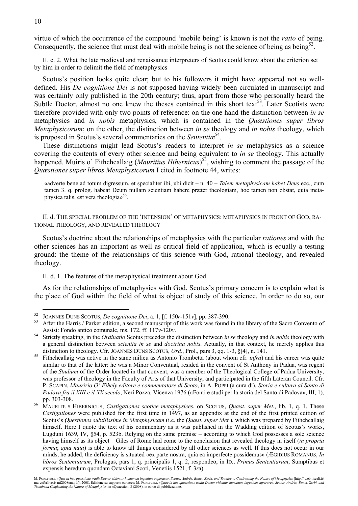virtue of which the occurrence of the compound 'mobile being' is known is not the *ratio* of being. Consequently, the science that must deal with mobile being is not the science of being as being $52$ .

II. c. 2. What the late medieval and renaissance interpreters of Scotus could know about the criterion set by him in order to delimit the field of metaphysics

Scotus's position looks quite clear; but to his followers it might have appeared not so welldefined. His *De cognitione Dei* is not supposed having widely been circulated in manuscript and was certainly only published in the 20th century; thus, apart from those who personally heard the Subtle Doctor, almost no one knew the theses contained in this short text<sup>53</sup>. Later Scotists were therefore provided with only two points of reference: on the one hand the distinction between *in se* metaphysics and *in nobis* metaphysics, which is contained in the *Quæstiones super libros Metaphysicorum*; on the other, the distinction between *in se* theology and *in nobis* theology, which is proposed in Scotus's several commentaries on the *Sententiæ*54.

These distinctions might lead Scotus's readers to interpret *in se* metaphysics as a science covering the contents of every other science and being equivalent to *in se* theology. This actually happened. Muiris o' Fithcheallaig (*Mauritius Hibernicus*) 55, wishing to comment the passage of the *Quæstiones super libros Metaphysicorum* I cited in footnote 44, writes:

«adverte bene ad totum digressum, et specialiter ibi, ubi dicit – n. 40 – *Talem metaphysicam habet Deus* ecc., cum tamen 3. q. prolog. habeat Deum nullam scientiam habere præter theologiam, hoc tamen non obstat, quia metaphysica talis, est vera theologia»<sup>56</sup>.

II. d. THE SPECIAL PROBLEM OF THE 'INTENSION' OF METAPHYSICS: METAPHYSICS IN FRONT OF GOD, RA-TIONAL THEOLOGY, AND REVEALED THEOLOGY

Scotus's doctrine about the relationships of metaphysics with the particular *rationes* and with the other sciences has an important as well as critical field of application, which is equally a testing ground: the theme of the relationships of this science with God, rational theology, and revealed theology.

II. d. 1. The features of the metaphysical treatment about God

As for the relationships of metaphysics with God, Scotus's primary concern is to explain what is the place of God within the field of what is object of study of this science. In order to do so, our

<sup>&</sup>lt;sup>52</sup> JOANNES DUNS SCOTUS, *De cognitione Dei*, a. 1, [f. 150*r*-151*v*], pp. 387-390.<br><sup>53</sup> After the Harris / Parker edition, a second manuscript of this work was found in the library of the Sacro Convento of

Assisi: Fondo antico comunale, ms. 172, ff. 117*v*-120*v*.<br><sup>54</sup> Strictly speaking, in the *Ordinatio* Scotus precedes the distinction between *in se* theology and *in nobis* theology with a general distinction between *scientia in se* and *doctrina nobis*. Actually, in that context, he merely applies this distinction to theology. Cfr. JOANNES DUNS SCOTUS, Ord., Prol., pars 3, qq. 1-3, §[4], n. 141.<br>Fithcheallaig was active in the same milieu as Antonio Trombetta (about whom cfr. *infra*) and his career was quite

similar to that of the latter: he was a Minor Conventual, resided in the convent of St Anthony in Padua, was regent of the *Studium* of the Order located in that convent, was a member of the Theological College of Padua University, was professor of theology in the Faculty of Arts of that University, and participated in the fifth Lateran Council. Cfr. P. SCAPIN, *Maurizio O' Fihely editore e commentatore di Scoto*, in A. POPPI (a cura di), *Storia e cultura al Santo di Padova fra il XIII e il XX secolo*, Neri Pozza, Vicenza 1976 («Fonti e studi per la storia del Santo di Padova», III, 1),

pp. 303-308. 56 MAURITIUS HIBERNICUS, *Castigationes scotice metaphysices*, on SCOTUS, *Quæst. super Met.*, lib. 1, q. 1. These *Castigationes* were published for the first time in 1497, as an appendix at the end of the first printed edition of Scotus's *Questiones subtilissime in Metaphysicam* (i.e. the *Quæst. super Met.*), which was prepared by Fithcheallaig himself. Here I quote the text of his commentary as it was published in the Wadding edition of Scotus's works, Lugduni 1639, IV, §54, p. 523b. Relying on the same premise – according to which God possesses a sole science having himself as its object – Giles of Rome had come to the conclusion that revealed theology in itself (*in propria forma*; *apta nata*) is able to know all things considered by all other sciences as well. If this does not occur in our minds, he added, the deficiency is situated «ex parte nostra, quia ea imperfecte possidemus» (ÆGIDIUS ROMANUS, *In libros Sententiarum*, Prologus, pars 1, q. principalis 1, q. 2, respondeo, in ID., *Primus Sententiarum*, Sumptibus et expensis heredum quondam Octaviani Scoti, Venetiis 1521, f. 3*r*a).

M. FORLIVESI, «Quæ in hac quæstione tradit Doctor videntur humanum ingenium superare». Scotus, Andrés, Bonet, Zerbi, and Trombetta Confronting the Nature of Metaphysics [http:// web.tiscali.it/<br>marcoforlivesi/ mi2008cm.pdf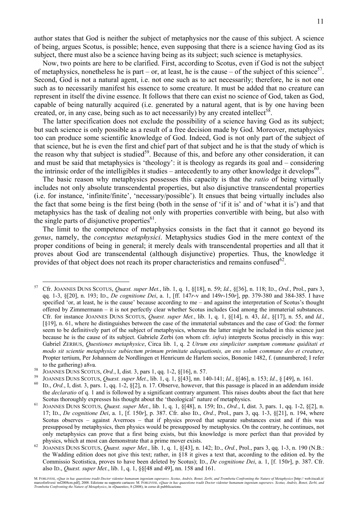author states that God is neither the subject of metaphysics nor the cause of this subject. A science of being, argues Scotus, is possible; hence, even supposing that there is a science having God as its subject, there must also be a science having being as its subject; such science is metaphysics.

Now, two points are here to be clarified. First, according to Scotus, even if God is not the subject of metaphysics, nonetheless he is part – or, at least, he is the cause – of the subject of this science<sup>57</sup>. Second, God is not a natural agent, i.e. not one such as to act necessarily; therefore, he is not one such as to necessarily manifest his essence to some creature. It must be added that no creature can represent in itself the divine essence. It follows that there can exist no science of God, taken as God, capable of being naturally acquired (i.e. generated by a natural agent, that is by one having been created, or, in any case, being such as to act necessarily) by any created intellect<sup>58</sup>.

The latter specification does not exclude the possibility of a science having God as its subject; but such science is only possible as a result of a free decision made by God. Moreover, metaphysics too can produce some scientific knowledge of God. Indeed, God is not only part of the subject of that science, but he is even the first and chief part of that subject and he is that the study of which is the reason why that subject is studied<sup>59</sup>. Because of this, and before any other consideration, it can and must be said that metaphysics is 'theology': it is theology as regards its goal and – considering the intrinsic order of the intelligibles it studies – antecedently to any other knowledge it develops $60$ .

The basic reason why metaphysics possesses this capacity is that the *ratio* of being virtually includes not only absolute transcendental properties, but also disjunctive transcendental properties (i.e. for instance, 'infinite/finite', 'necessary/possible'). It ensues that being virtually includes also the fact that some being is the first being (both in the sense of 'if it is' and of 'what it is') and that metaphysics has the task of dealing not only with properties convertible with being, but also with the single parts of disjunctive properties $^{61}$ .

The limit to the competence of metaphysics consists in the fact that it cannot go beyond its *genus*, namely, the *conceptus metaphysici*. Metaphysics studies God in the mere context of the proper conditions of being in general; it merely deals with transcendental properties and all that it proves about God are transcendental (although disjunctive) properties. Thus, the knowledge it provides of that object does not reach its proper characteristics and remains confused $^{62}$ .

 <sup>57</sup> Cfr. JOANNES DUNS SCOTUS, *Quæst. super Met.*, lib. 1, q. 1, §[18], n. 59; *Id.*, §[36], n. 118; ID., *Ord.*, Prol., pars 3, qq. 1-3, §[20], n. 193; ID., *De cognitione Dei*, a. 1, [ff. 147*r*-v and 149*r*-150*r*], pp. 379-380 and 384-385. I have specified 'or, at least, he is the cause' because according to me – and against the interpretation of Scotus's thought offered by Zimmermann – it is not perfectly clear whether Scotus includes God among the immaterial substances. Cfr. for instance JOANNES DUNS SCOTUS, *Quæst. super Met.*, lib. 1, q. 1, §[14], n. 43, *Id.*, §[17], n. 55, and *Id.*, [§19], n. 61, where he distinguishes between the case of the immaterial substances and the case of God: the former seem to be definitively part of the subject of metaphysics, whereas the latter might be included in this science just because he is the cause of its subject. Gabriele Zerbi (on whom cfr. *infra*) interprets Scotus precisely in this way: Gabriel ZERBUS, *Questiones metaphysice*, Circa lib. 1, q. 2 *Utrum ens simpliciter sumptum commune quiditati et modo sit scientie metaphysice subiectum primum primitate adequationis, an ens solum commune deo et creature*, Propter tertium, Per Johannem de Nordlingen et Henricum de Harlem socios, Bononie 1482, f. (unnumbered; I refer to the gathering) a8va.<br>
<sup>58</sup> JOANNES DUNS SCOTUS, *Ord.*, I, dist. 3, pars 1, qq. 1-2, §[16], n. 57.<br>
<sup>59</sup> JOANNES DUNS SCOTUS, *Quæst. super Met.*, lib. 1, q. 1, §[43], nn. 140-141; *Id.*, §[46], n. 153; *Id.*, § [49],

the *declaratio* of q. 1 and is followed by a significant contrary argument. This raises doubts about the fact that here Scotus thoroughly expresses his thought about the 'theological' nature of metaphysics.<br><sup>61</sup> JOANNES DUNS SCOTUS, *Quæst. super Met.*, lib. 1, q. 1, §[48], n. 159; ID., *Ord.*, I, dist. 3, pars. 1, qq. 1-2, §[2], n.

<sup>17;</sup> ID., *De cognitione Dei*, a. 1, [f. 150*r*], p. 387. Cfr. also ID., *Ord.*, Prol., pars 3, qq. 1-3, §[21], n. 194, where Scotus observes – against Averroes – that if physics proved that separate substances exist and if this was presupposed by metaphysics, then physics would be presupposed by metaphysics. On the contrary, he continues, not only metaphysics can prove that a first being exists, but this knowledge is more perfect than that provided by physics, which at most can demonstrate that a prime mover exists.<br><sup>62</sup> JOANNES DUNS SCOTUS, *Quæst. super Met.*, lib. 1, q. 1, §[43], n. 142; ID., *Ord.*, Prol., pars 3, qq. 1-3, n. 190 (N.B.:

the Wadding edition does not give this text; rather, in §18 it gives a text that, according to the edition ed. by the Commissio Scotistica, proves to have been deleted by Scotus); ID., *De cognitione Dei*, a. 1, [f. 150*r*], p. 387. Cfr. also ID., *Quæst. super Met.*, lib. 1, q. 1, §§[48 and 49], nn. 158 and 161.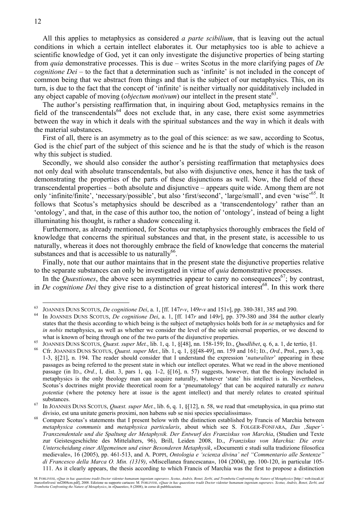All this applies to metaphysics as considered *a parte scibilium*, that is leaving out the actual conditions in which a certain intellect elaborates it. Our metaphysics too is able to achieve a scientific knowledge of God, yet it can only investigate the disjunctive properties of being starting from *quia* demonstrative processes. This is due – writes Scotus in the more clarifying pages of *De cognitione Dei* – to the fact that a determination such as 'infinite' is not included in the concept of common being that we abstract from things and that is the subject of our metaphysics. This, on its turn, is due to the fact that the concept of 'infinite' is neither virtually nor quidditatively included in any object capable of moving *(objectum motivum)* our intellect in the present state<sup>63</sup>.

The author's persisting reaffirmation that, in inquiring about God, metaphysics remains in the field of the transcendentals<sup>64</sup> does not exclude that, in any case, there exist some asymmetries between the way in which it deals with the spiritual substances and the way in which it deals with the material substances.

First of all, there is an asymmetry as to the goal of this science: as we saw, according to Scotus, God is the chief part of the subject of this science and he is that the study of which is the reason why this subject is studied.

Secondly, we should also consider the author's persisting reaffirmation that metaphysics does not only deal with absolute transcendentals, but also with disjunctive ones, hence it has the task of demonstrating the properties of the parts of these disjunctions as well. Now, the field of these transcendental properties – both absolute and disjunctive – appears quite wide. Among them are not only 'infinite/finite', 'necessary/possible', but also 'first/second', 'large/small', and even 'wise'<sup>65</sup>. It follows that Scotus's metaphysics should be described as a 'transcendentology' rather than an 'ontology', and that, in the case of this author too, the notion of 'ontology', instead of being a light illuminating his thought, is rather a shadow concealing it.

Furthermore, as already mentioned, for Scotus our metaphysics thoroughly embraces the field of knowledge that concerns the spiritual substances and that, in the present state, is accessible to us naturally, whereas it does not thoroughly embrace the field of knowledge that concerns the material substances and that is accessible to us naturally $^{66}$ .

Finally, note that our author maintains that in the present state the disjunctive properties relative to the separate substances can only be investigated in virtue of *quia* demonstrative processes.

In the *Quæstiones*, the above seen asymmetries appear to carry no consequences<sup>67</sup>; by contrast, in *De cognitione Dei* they give rise to a distinction of great historical interest<sup>68</sup>. In this work there

<sup>&</sup>lt;sup>63</sup> JOANNES DUNS SCOTUS, *De cognitione Dei*, a. 1, [ff. 147r-v, 149r-v and 151v], pp. 380-381, 385 and 390.<br><sup>64</sup> In JOANNES DUNS SCOTUS, *De cognitione Dei*, a. 1, [ff. 147r and 149r], pp. 379-380 and 384 the author cle states that the thesis according to which being is the subject of metaphysics holds both for *in se* metaphysics and for *in nobis* metaphysics, as well as whether we consider the level of the sole universal properties, or we descend to what is known of being through one of the two parts of the disjunctive properties.<br>
<sup>65</sup> JOANNES DUNS SCOTUS, *Quæst. super Met.*, lib. 1, q. 1, §[48], nn. 158-159; ID., *Quodlibet*, q. 6, a. 1, de tertio, §1.<br>
<sup>66</sup> Cfr. J

<sup>1-3, §[21],</sup> n. 194. The reader should consider that I understand the expression '*naturaliter*' appearing in these passages as being referred to the present state in which our intellect operates. What we read in the above mentioned passage (in ID., *Ord.*, I, dist. 3, pars 1, qq. 1-2, §[16], n. 57) suggests, however, that the theology included in metaphysics is the only theology man can acquire naturally, whatever 'state' his intellect is in. Nevertheless, Scotus's doctrines might provide theoretical room for a 'pneumatology' that can be acquired naturally *ex natura potentice* (where the potency here at issue is the agent intellect) and that merely relates to created spiritual substances. 67 In JOANNES DUNS SCOTUS, *Quæst. super Met.*, lib. 6, q. 1, §[12], n. 58, we read that «metaphysica, in qua primo stat

divisio, est una unitate generis proximi, non habens sub se nisi species specialissimas».<br>Compare Scotus's statements that I present below with the distinction established by Francis of Marchia between

*metaphysica communis* and *metaphysica particularis*, about which see S. FOLGER-FONFARA, *Das 'Super'- Transzendentale und die Spaltung der Metaphysik. Der Entwurf des Franziskus von Marchia*, (Studien und Texte zur Geistesgeschichte des Mittelalters, 96), Brill, Leiden 2008, ID., *Franziskus von Marchia: Die erste Unterscheidung einer Allgemeinen und einer Besonderen Metaphysik*, «Documenti e studi sulla tradizione filosofica medievale», 16 (2005), pp. 461-513, and A. POPPI, *Ontologia e 'scienza divina' nel "Commentario alle Sentenze" di Francesco della Marca O. Min. (1319)*, «Miscellanea francescana», 104 (2004), pp. 100-120, in particular 105- 111. As it clearly appears, the thesis according to which Francis of Marchia was the first to propose a distinction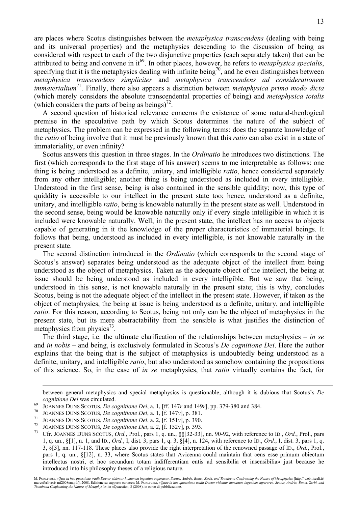are places where Scotus distinguishes between the *metaphysica transcendens* (dealing with being and its universal properties) and the metaphysics descending to the discussion of being as considered with respect to each of the two disjunctive properties (each separately taken) that can be attributed to being and convene in it<sup>69</sup>. In other places, however, he refers to *metaphysica specialis*, specifying that it is the metaphysics dealing with infinite being<sup>70</sup>, and he even distinguishes between *metaphysica transcendens simpliciter* and *metaphysica transcendens ad considerationem immaterialium*<sup>71</sup>. Finally, there also appears a distinction between *metaphysica primo modo dicta* (which merely considers the absolute transcendental properties of being) and *metaphysica totalis* (which considers the parts of being as beings)<sup>72</sup>.

A second question of historical relevance concerns the existence of some natural-theological premise in the speculative path by which Scotus determines the nature of the subject of metaphysics. The problem can be expressed in the following terms: does the separate knowledge of the *ratio* of being involve that it must be previously known that this *ratio* can also exist in a state of immateriality, or even infinity?

Scotus answers this question in three stages. In the *Ordinatio* he introduces two distinctions. The first (which corresponds to the first stage of his answer) seems to me interpretable as follows: one thing is being understood as a definite, unitary, and intelligible *ratio*, hence considered separately from any other intelligible; another thing is being understood as included in every intelligible. Understood in the first sense, being is also contained in the sensible quiddity; now, this type of quiddity is accessible to our intellect in the present state too; hence, understood as a definite, unitary, and intelligible *ratio*, being is knowable naturally in the present state as well. Understood in the second sense, being would be knowable naturally only if every single intelligible in which it is included were knowable naturally. Well, in the present state, the intellect has no access to objects capable of generating in it the knowledge of the proper characteristics of immaterial beings. It follows that being, understood as included in every intelligible, is not knowable naturally in the present state.

The second distinction introduced in the *Ordinatio* (which corresponds to the second stage of Scotus's answer) separates being understood as the adequate object of the intellect from being understood as the object of metaphysics. Taken as the adequate object of the intellect, the being at issue should be being understood as included in every intelligible. But we saw that being, understood in this sense, is not knowable naturally in the present state; this is why, concludes Scotus, being is not the adequate object of the intellect in the present state. However, if taken as the object of metaphysics, the being at issue is being understood as a definite, unitary, and intelligible *ratio*. For this reason, according to Scotus, being not only can be the object of metaphysics in the present state, but its mere abstractability from the sensible is what justifies the distinction of metaphysics from physics $^{73}$ .

The third stage, i.e. the ultimate clarification of the relationships between metaphysics – *in se* and *in nobis* – and being, is exclusively formulated in Scotus's *De cognitione Dei*. Here the author explains that the being that is the subject of metaphysics is undoubtedly being understood as a definite, unitary, and intelligible *ratio*, but also understood as somehow containing the propositions of this science. So, in the case of *in se* metaphysics, that *ratio* virtually contains the fact, for

between general metaphysics and special metaphysics is questionable, although it is dubious that Scotus's *De* 

cognitione Dei was circulated.<br>
<sup>69</sup> JOANNES DUNS SCOTUS, *De cognitione Dei*, a. 1, [ff. 147r and 149r], pp. 379-380 and 384.<br>
<sup>70</sup> JOANNES DUNS SCOTUS, *De cognitione Dei*, a. 1, [f. 147v], p. 381.<br>
<sup>71</sup> JOANNES DUNS SC 1, q. un., §[1], n. 1, and ID., *Ord.*, I, dist. 3, pars 1, q. 3, §[4], n. 124, with reference to ID., *Ord.*, I, dist. 3, pars 1, q. 3, §[3], nn. 117-118. These places also provide the right interpretation of the renowned passage of ID., *Ord.*, Prol., pars 1, q. un., §[12], n. 33, where Scotus states that Avicenna could maintain that «ens esse primum obiectum intellectus nostri, et hoc secundum totam indifferentiam entis ad sensibilia et insensibilia» just because he introduced into his philosophy theses of a religious nature.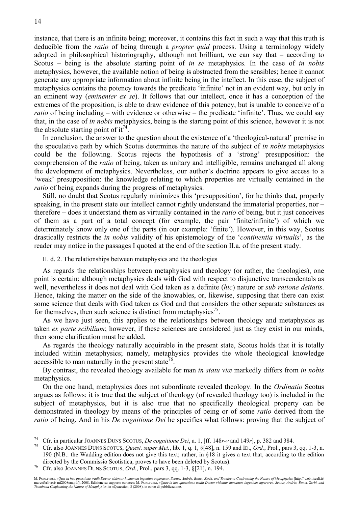instance, that there is an infinite being; moreover, it contains this fact in such a way that this truth is deducible from the *ratio* of being through a *propter quid* process. Using a terminology widely adopted in philosophical historiography, although not brilliant, we can say that – according to Scotus – being is the absolute starting point of *in se* metaphysics. In the case of *in nobis* metaphysics, however, the available notion of being is abstracted from the sensibles; hence it cannot generate any appropriate information about infinite being in the intellect. In this case, the subject of metaphysics contains the potency towards the predicate 'infinite' not in an evident way, but only in an eminent way (*eminenter ex se*). It follows that our intellect, once it has a conception of the extremes of the proposition, is able to draw evidence of this potency, but is unable to conceive of a *ratio* of being including – with evidence or otherwise – the predicate 'infinite'. Thus, we could say that, in the case of *in nobis* metaphysics, being is the starting point of this science, however it is not the absolute starting point of  $it^{74}$ .

In conclusion, the answer to the question about the existence of a 'theological-natural' premise in the speculative path by which Scotus determines the nature of the subject of *in nobis* metaphysics could be the following. Scotus rejects the hypothesis of a 'strong' presupposition: the comprehension of the *ratio* of being, taken as unitary and intelligible, remains unchanged all along the development of metaphysics. Nevertheless, our author's doctrine appears to give access to a 'weak' presupposition: the knowledge relating to which properties are virtually contained in the *ratio* of being expands during the progress of metaphysics.

Still, no doubt that Scotus regularly minimizes this 'presupposition', for he thinks that, properly speaking, in the present state our intellect cannot rightly understand the immaterial properties, nor – therefore – does it understand them as virtually contained in the *ratio* of being, but it just conceives of them as a part of a total concept (for example, the pair 'finite/infinite') of which we determinately know only one of the parts (in our example: 'finite'). However, in this way, Scotus drastically restricts the *in nobis* validity of his epistemology of the '*continentia virtualis*', as the reader may notice in the passages I quoted at the end of the section II.a. of the present study.

## II. d. 2. The relationships between metaphysics and the theologies

As regards the relationships between metaphysics and theology (or rather, the theologies), one point is certain: although metaphysics deals with God with respect to disjunctive transcendentals as well, nevertheless it does not deal with God taken as a definite (*hic*) nature or *sub ratione deitatis*. Hence, taking the matter on the side of the knowables, or, likewise, supposing that there can exist some science that deals with God taken as God and that considers the other separate substances as for themselves, then such science is distinct from metaphysics<sup>75</sup>.

As we have just seen, this applies to the relationships between theology and metaphysics as taken *ex parte scibilium*; however, if these sciences are considered just as they exist in our minds, then some clarification must be added.

As regards the theology naturally acquirable in the present state, Scotus holds that it is totally included within metaphysics; namely, metaphysics provides the whole theological knowledge accessible to man naturally in the present state<sup>76</sup>.

By contrast, the revealed theology available for man *in statu viæ* markedly differs from *in nobis* metaphysics.

On the one hand, metaphysics does not subordinate revealed theology. In the *Ordinatio* Scotus argues as follows: it is true that the subject of theology (of revealed theology too) is included in the subject of metaphysics, but it is also true that no specifically theological property can be demonstrated in theology by means of the principles of being or of some *ratio* derived from the *ratio* of being. And in his *De cognitione Dei* he specifies what follows: proving that the subject of

<sup>&</sup>lt;sup>74</sup> Cfr. in particular JOANNES DUNS SCOTUS, *De cognitione Dei*, a. 1, [ff. 148r-v and 149r], p. 382 and 384.<br><sup>75</sup> Cfr. also JOANNES DUNS SCOTUS, *Quæst. super Met.*, lib. 1, q. 1, §[48], n. 159 and ID., *Ord.*, Prol., p 190 (N.B.: the Wadding edition does not give this text; rather, in §18 it gives a text that, according to the edition directed by the Commissio Scotistica, proves to have been deleted by Scotus). 76 Cfr. also JOANNES DUNS SCOTUS, *Ord.*, Prol., pars 3, qq. 1-3, §[21], n. 194.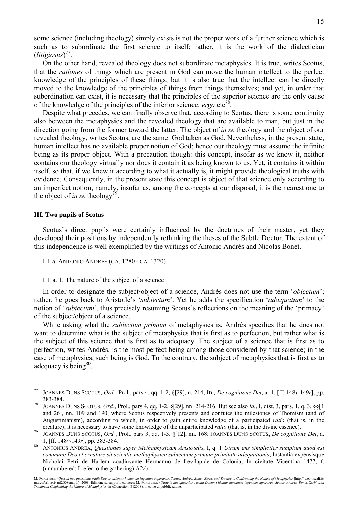some science (including theology) simply exists is not the proper work of a further science which is such as to subordinate the first science to itself; rather, it is the work of the dialectician (*litigiosus*) 77.

On the other hand, revealed theology does not subordinate metaphysics. It is true, writes Scotus, that the *rationes* of things which are present in God can move the human intellect to the perfect knowledge of the principles of these things, but it is also true that the intellect can be directly moved to the knowledge of the principles of things from things themselves; and yet, in order that subordination can exist, it is necessary that the principles of the superior science are the only cause of the knowledge of the principles of the inferior science; *ergo* etc<sup>7</sup>

Despite what precedes, we can finally observe that, according to Scotus, there is some continuity also between the metaphysics and the revealed theology that are available to man, but just in the direction going from the former toward the latter. The object of *in se* theology and the object of our revealed theology, writes Scotus, are the same: God taken as God. Nevertheless, in the present state, human intellect has no available proper notion of God; hence our theology must assume the infinite being as its proper object. With a precaution though: this concept, insofar as we know it, neither contains our theology virtually nor does it contain it as being known to us. Yet, it contains it within itself, so that, if we knew it according to what it actually is, it might provide theological truths with evidence. Consequently, in the present state this concept is object of that science only according to an imperfect notion, namely, insofar as, among the concepts at our disposal, it is the nearest one to the object of *in se* theology<sup>79</sup>.

## **III. Two pupils of Scotus**

Scotus's direct pupils were certainly influenced by the doctrines of their master, yet they developed their positions by independently rethinking the theses of the Subtle Doctor. The extent of this independence is well exemplified by the writings of Antonio Andrés and Nicolas Bonet.

III. a. ANTONIO ANDRÉS (CA. 1280 - CA. 1320)

#### III. a. 1. The nature of the subject of a science

In order to designate the subject/object of a science, Andrés does not use the term '*obiectum*'; rather, he goes back to Aristotle's '*subiectum*'. Yet he adds the specification '*adæquatum*' to the notion of '*subiectum*', thus precisely resuming Scotus's reflections on the meaning of the 'primacy' of the subject/object of a science.

While asking what the *subiectum primum* of metaphysics is, Andrés specifies that he does not want to determine what is the subject of metaphysics that is first as to perfection, but rather what is the subject of this science that is first as to adequacy. The subject of a science that is first as to perfection, writes Andrés, is the most perfect being among those considered by that science; in the case of metaphysics, such being is God. To the contrary, the subject of metaphysics that is first as to adequacy is being $80$ .

M. FORLIVESI, «Quæ in hac quæstione tradit Doctor videntur humanum ingenium superare». Scotus, Andrés, Bonet, Zerbi, and Trombetta Confronting the Nature of Metaphysics [http:// web.tiscali.it/<br>marcoforlivesi/ mi2008cm.pdf

 <sup>77</sup> JOANNES DUNS SCOTUS, *Ord.*, Prol., pars 4, qq. 1-2, §[29], n. 214; ID., *De cognitione Dei*, a. 1, [ff. 148*v*-149*r*], pp. 383-384. 78 JOANNES DUNS SCOTUS, *Ord.*, Prol., pars 4, qq. 1-2, §[29], nn. 214-216. But see also *Id.*, I, dist. 3, pars. 1, q. 3, §§[1

and 26], nn. 109 and 190, where Scotus respectively presents and confutes the milestones of Thomism (and of Augustinianism), according to which, in order to gain entire knowledge of a participated *ratio* (that is, in the

creature), it is necessary to have some knowledge of the unparticipated *ratio* (that is, in the divine essence).<br>JOANNES DUNS SCOTUS, *Ord.*, Prol., pars 3, qq. 1-3, §[12], nn. 168; JOANNES DUNS SCOTUS, *De cognitione Dei* 

<sup>1, [</sup>ff. 148*v*-149*r*], pp. 383-384. 80 ANTONIUS ANDREA, *Questiones super Methaphysicam Aristotelis*, I, q. 1 *Utrum ens simpliciter sumptum quod est commune Deo et creature sit scientie methaphysice subiectum primum primitate adequationis*, Instantia expensisque Nicholai Petri de Harlem coadiuvante Hermanno de Levilapide de Colonia, In civitate Vicentina 1477, f. (unnumbered; I refer to the gathering) A2*r*b.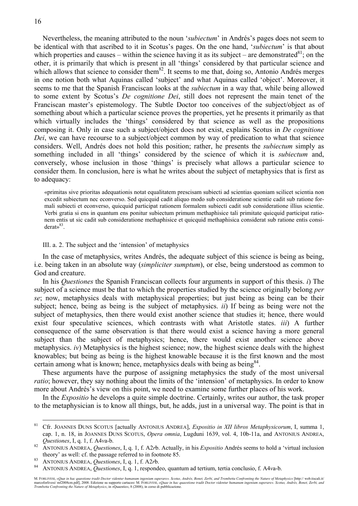Nevertheless, the meaning attributed to the noun '*subiectum*' in Andrés's pages does not seem to be identical with that ascribed to it in Scotus's pages. On the one hand, '*subiectum*' is that about which properties and causes – within the science having it as its subject – are demonstrated  $81$ ; on the other, it is primarily that which is present in all 'things' considered by that particular science and which allows that science to consider them $82$ . It seems to me that, doing so, Antonio Andrés merges in one notion both what Aquinas called 'subject' and what Aquinas called 'object'. Moreover, it seems to me that the Spanish Franciscan looks at the *subiectum* in a way that, while being allowed to some extent by Scotus's *De cognitione Dei*, still does not represent the main tenet of the Franciscan master's epistemology. The Subtle Doctor too conceives of the subject/object as of something about which a particular science proves the properties, yet he presents it primarily as that which virtually includes the 'things' considered by that science as well as the propositions composing it. Only in case such a subject/object does not exist, explains Scotus in *De cognitione Dei*, we can have recourse to a subject/object common by way of predication to what that science considers. Well, Andrés does not hold this position; rather, he presents the *subiectum* simply as something included in all 'things' considered by the science of which it is *subiectum* and, conversely, whose inclusion in those 'things' is precisely what allows a particular science to consider them. In conclusion, here is what he writes about the subject of metaphysics that is first as to adequacy:

«primitas sive prioritas adequationis notat equalitatem prescisam subiecti ad scientias quoniam scilicet scientia non excedit subiectum nec econverso. Sed quicquid cadit aliquo modo sub consideratione scientie cadit sub ratione formali subiecti et econverso, quicquid participat rationem formalem subiecti cadit sub consideratione illius scientie. Verbi gratia si ens in quantum ens ponitur subiectum primum methaphisice tali primitate quicquid participat rationem entis ut sic cadit sub consideratione methaphisice et quicquid methaphisica considerat sub ratione entis consi $derat<sub>9</sub><sup>83</sup>$ .

III. a. 2. The subject and the 'intension' of metaphysics

In the case of metaphysics, writes Andrés, the adequate subject of this science is being as being, i.e. being taken in an absolute way (*simpliciter sumptum*), or else, being understood as common to God and creature.

In his *Questiones* the Spanish Franciscan collects four arguments in support of this thesis. *i*) The subject of a science must be that to which the properties studied by the science originally belong *per se*; now, metaphysics deals with metaphysical properties; but just being as being can be their subject; hence, being as being is the subject of metaphysics. *ii*) If being as being were not the subject of metaphysics, then there would exist another science that studies it; hence, there would exist four speculative sciences, which contrasts with what Aristotle states. *iii*) A further consequence of the same observation is that there would exist a science having a more general subject than the subject of metaphysics; hence, there would exist another science above metaphysics. *iv*) Metaphysics is the highest science; now, the highest science deals with the highest knowables; but being as being is the highest knowable because it is the first known and the most certain among what is known; hence, metaphysics deals with being as being  $84$ .

These arguments have the purpose of assigning metaphysics the study of the most universal *ratio*; however, they say nothing about the limits of the 'intension' of metaphysics. In order to know more about Andrés's view on this point, we need to examine some further places of his work.

In the *Expositio* he develops a quite simple doctrine. Certainly, writes our author, the task proper to the metaphysician is to know all things, but, he adds, just in a universal way. The point is that in

M. FORLIVESI, «Quæ in hac quæstione tradit Doctor videntur humanum ingenium superare». Scotus, Andrés, Bonet, Zerbi, and Trombetta Confronting the Nature of Metaphysics [http:// web.tiscali.it/<br>marcoforlivesi/ mi2008cm.pdf

 <sup>81</sup> Cfr. JOANNES DUNS SCOTUS [actually ANTONIUS ANDREA], *Expositio in XII libros Metaphysicorum*, I, summa 1, cap. 1, n. 18, in JOANNES DUNS SCOTUS, *Opera omnia*, Lugduni 1639, vol. 4, 10b-11a, and ANTONIUS ANDREA, *Questiones*, I, q. 1, f. A4*v*a-b. 82 ANTONIUS ANDREA, *Questiones*, I, q. 1, f. A2*r*b. Actually, in his *Expositio* Andrés seems to hold a 'virtual inclusion

theory' as well: cf. the passage referred to in footnote 85.<br>
<sup>83</sup> ANTONIUS ANDREA, *Questiones*, I, q. 1, f. A2*r*b.<br>
<sup>84</sup> ANTONIUS ANDREA, *Questiones*, I, q. 1, respondeo, quantum ad tertium, tertia conclusio, f. A4*va*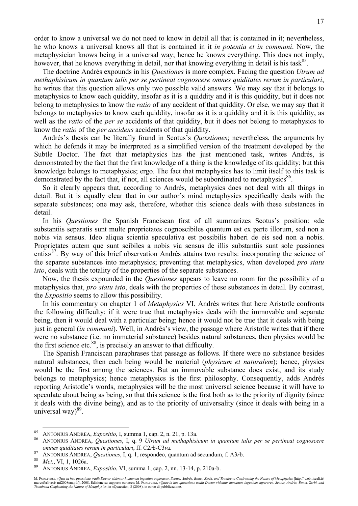order to know a universal we do not need to know in detail all that is contained in it; nevertheless, he who knows a universal knows all that is contained in it *in potentia et in communi*. Now, the metaphysician knows being in a universal way; hence he knows everything. This does not imply, however, that he knows everything in detail, nor that knowing everything in detail is his task  $85$ .

The doctrine Andrés expounds in his *Questiones* is more complex. Facing the question *Utrum ad methaphisicum in quantum talis per se pertineat cognoscere omnes quiditates rerum in particulari*, he writes that this question allows only two possible valid answers. We may say that it belongs to metaphysics to know each quiddity, insofar as it is a quiddity and it is this quiddity, but it does not belong to metaphysics to know the *ratio* of any accident of that quiddity. Or else, we may say that it belongs to metaphysics to know each quiddity, insofar as it is a quiddity and it is this quiddity, as well as the *ratio* of the *per se* accidents of that quiddity, but it does not belong to metaphysics to know the *ratio* of the *per accidens* accidents of that quiddity.

Andrés's thesis can be literally found in Scotus's *Quæstiones*; nevertheless, the arguments by which he defends it may be interpreted as a simplified version of the treatment developed by the Subtle Doctor. The fact that metaphysics has the just mentioned task, writes Andrés, is demonstrated by the fact that the first knowledge of a thing is the knowledge of its quiddity; but this knowledge belongs to metaphysics; ergo. The fact that metaphysics has to limit itself to this task is demonstrated by the fact that, if not, all sciences would be subordinated to metaphysics $86$ .

So it clearly appears that, according to Andrés, metaphysics does not deal with all things in detail. But it is equally clear that in our author's mind metaphysics specifically deals with the separate substances; one may ask, therefore, whether this science deals with these substances in detail.

In his *Questiones* the Spanish Franciscan first of all summarizes Scotus's position: «de substantiis separatis sunt multe proprietates cognoscibiles quantum est ex parte illorum, sed non a nobis via sensus. Ideo aliqua scientia speculativa est possibilis haberi de eis sed non a nobis. Proprietates autem que sunt scibiles a nobis via sensus de illis substantiis sunt sole passiones entis»<sup>87</sup>. By way of this brief observation Andrés attains two results: incorporating the science of the separate substances into metaphysics; preventing that metaphysics, when developed *pro statu isto*, deals with the totality of the properties of the separate substances.

Now, the thesis expounded in the *Questiones* appears to leave no room for the possibility of a metaphysics that, *pro statu isto*, deals with the properties of these substances in detail. By contrast, the *Expositio* seems to allow this possibility.

In his commentary on chapter 1 of *Metaphysics* VI, Andrés writes that here Aristotle confronts the following difficulty: if it were true that metaphysics deals with the immovable and separate being, then it would deal with a particular being; hence it would not be true that it deals with being just in general (*in communi*). Well, in Andrés's view, the passage where Aristotle writes that if there were no substance (i.e. no immaterial substance) besides natural substances, then physics would be the first science etc. $88$ , is precisely an answer to that difficulty.

The Spanish Franciscan paraphrases that passage as follows. If there were no substance besides natural substances, then each being would be material (*physicum et naturalem*); hence, physics would be the first among the sciences. But an immovable substance does exist, and its study belongs to metaphysics; hence metaphysics is the first philosophy. Consequently, adds Andrés reporting Aristotle's words, metaphysics will be the most universal science because it will have to speculate about being as being, so that this science is the first both as to the priority of dignity (since it deals with the divine being), and as to the priority of universality (since it deals with being in a universal way $)^{89}$ .

 <sup>85</sup> ANTONIUS ANDREA, *Expositio*, I, summa 1, cap. 2, n. 21, p. 13a. 86 ANTONIUS ANDREA, *Questiones*, I, q. 9 *Utrum ad methaphisicum in quantum talis per se pertineat cognoscere*  omnes quiditates rerum in particulari, ff. C2rb-C3va.<br>
<sup>87</sup> ANTONIUS ANDREA, *Questiones*, I, q. 1, respondeo, quantum ad secundum, f. A3rb.<br>
<sup>88</sup> *Met*., VI, 1, 1026a.<br>
<sup>89</sup> ANTONIUS ANDREA, *Expositio*, VI, summa 1, cap.

M. FORLIVESI, «Quæ in hac quæstione tradit Doctor videntur humanum ingenium superare». Scotus, Andrés, Bonet, Zerbi, and Trombetta Confronting the Nature of Metaphysics [http:// web.tiscali.it/<br>marcoforlivesi/ mi2008cm.pdf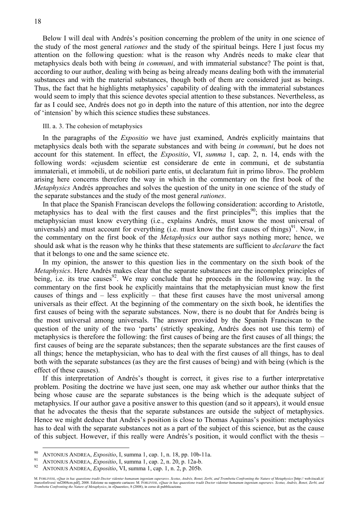Below I will deal with Andrés's position concerning the problem of the unity in one science of the study of the most general *rationes* and the study of the spiritual beings. Here I just focus my attention on the following question: what is the reason why Andrés needs to make clear that metaphysics deals both with being *in communi*, and with immaterial substance? The point is that, according to our author, dealing with being as being already means dealing both with the immaterial substances and with the material substances, though both of them are considered just as beings. Thus, the fact that he highlights metaphysics' capability of dealing with the immaterial substances would seem to imply that this science devotes special attention to these substances. Nevertheless, as far as I could see, Andrés does not go in depth into the nature of this attention, nor into the degree of 'intension' by which this science studies these substances.

## III. a. 3. The cohesion of metaphysics

In the paragraphs of the *Expositio* we have just examined, Andrés explicitly maintains that metaphysics deals both with the separate substances and with being *in communi*, but he does not account for this statement. In effect, the *Expositio*, VI, *summa* 1, cap. 2, n. 14, ends with the following words: «ejusdem scientiæ est considerare de ente in communi, et de substantia immateriali, et immobili, ut de nobiliori parte entis, ut declaratum fuit in primo libro». The problem arising here concerns therefore the way in which in the commentary on the first book of the *Metaphysics* Andrés approaches and solves the question of the unity in one science of the study of the separate substances and the study of the most general *rationes*.

In that place the Spanish Franciscan develops the following consideration: according to Aristotle, metaphysics has to deal with the first causes and the first principles<sup>90</sup>; this implies that the metaphysician must know everything (i.e., explains Andrés, must know the most universal of universals) and must account for everything (i.e. must know the first causes of things)<sup>91</sup>. Now, in the commentary on the first book of the *Metaphysics* our author says nothing more; hence, we should ask what is the reason why he thinks that these statements are sufficient to *declarare* the fact that it belongs to one and the same science etc.

In my opinion, the answer to this question lies in the commentary on the sixth book of the *Metaphysics*. Here Andrés makes clear that the separate substances are the incomplex principles of being, i.e. its true causes<sup>92</sup>. We may conclude that he proceeds in the following way. In the commentary on the first book he explicitly maintains that the metaphysician must know the first causes of things and – less explicitly – that these first causes have the most universal among universals as their effect. At the beginning of the commentary on the sixth book, he identifies the first causes of being with the separate substances. Now, there is no doubt that for Andrés being is the most universal among universals. The answer provided by the Spanish Franciscan to the question of the unity of the two 'parts' (strictly speaking, Andrés does not use this term) of metaphysics is therefore the following: the first causes of being are the first causes of all things; the first causes of being are the separate substances; then the separate substances are the first causes of all things; hence the metaphysician, who has to deal with the first causes of all things, has to deal both with the separate substances (as they are the first causes of being) and with being (which is the effect of these causes).

If this interpretation of Andrés's thought is correct, it gives rise to a further interpretative problem. Positing the doctrine we have just seen, one may ask whether our author thinks that the being whose cause are the separate substances is the being which is the adequate subject of metaphysics. If our author gave a positive answer to this question (and so it appears), it would ensue that he advocates the thesis that the separate substances are outside the subject of metaphysics. Hence we might deduce that Andrés's position is close to Thomas Aquinas's position: metaphysics has to deal with the separate substances not as a part of the subject of this science, but as the cause of this subject. However, if this really were Andrés's position, it would conflict with the thesis –

<sup>&</sup>lt;sup>90</sup> ANTONIUS ANDREA, *Expositio*, I, summa 1, cap. 1, n. 18, pp. 10b-11a.<br><sup>91</sup> ANTONIUS ANDREA, *Expositio*, I, summa 1, cap. 2, n. 20, p. 12a-b.<br><sup>92</sup> ANTONIUS ANDREA, *Expositio*, VI, summa 1, cap. 1, n. 2, p. 205b.

M. FORLIVESI, «Quæ in hac quæstione tradit Doctor videntur humanum ingenium superare». Scotus, Andrés, Bonet, Zerbi, and Trombetta Confronting the Nature of Metaphysics [http:// web.tiscali.it/<br>marcoforlivesi/ mi2008cm.pdf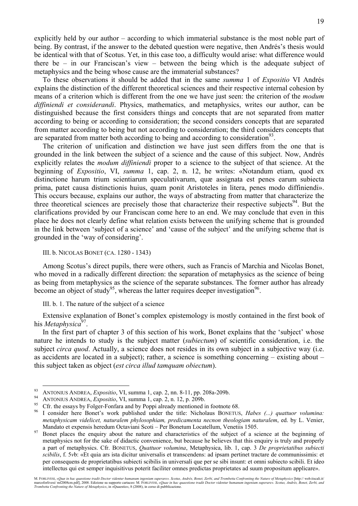explicitly held by our author – according to which immaterial substance is the most noble part of being. By contrast, if the answer to the debated question were negative, then Andrés's thesis would be identical with that of Scotus. Yet, in this case too, a difficulty would arise: what difference would there be – in our Franciscan's view – between the being which is the adequate subject of metaphysics and the being whose cause are the immaterial substances?

To these observations it should be added that in the same *summa* 1 of *Expositio* VI Andrés explains the distinction of the different theoretical sciences and their respective internal cohesion by means of a criterion which is different from the one we have just seen: the criterion of the *modum diffiniendi et considerandi*. Physics, mathematics, and metaphysics, writes our author, can be distinguished because the first considers things and concepts that are not separated from matter according to being or according to consideration; the second considers concepts that are separated from matter according to being but not according to consideration; the third considers concepts that are separated from matter both according to being and according to consideration<sup>93</sup>.

The criterion of unification and distinction we have just seen differs from the one that is grounded in the link between the subject of a science and the cause of this subject. Now, Andrés explicitly relates the *modum diffiniendi* proper to a science to the subject of that science. At the beginning of *Expositio*, VI, *summa* 1, cap. 2, n. 12, he writes: «Notandum etiam, quod ex distinctione harum trium scientiarum speculativarum, quæ assignata est penes earum subiecta prima, patet causa distinctionis huius, quam ponit Aristoteles in litera, penes modo diffiniendi». This occurs because, explains our author, the ways of abstracting from matter that characterize the three theoretical sciences are precisely those that characterize their respective subjects<sup>94</sup>. But the clarifications provided by our Franciscan come here to an end. We may conclude that even in this place he does not clearly define what relation exists between the unifying scheme that is grounded in the link between 'subject of a science' and 'cause of the subject' and the unifying scheme that is grounded in the 'way of considering'.

III. b. NICOLAS BONET (CA. 1280 - 1343)

Among Scotus's direct pupils, there were others, such as Francis of Marchia and Nicolas Bonet, who moved in a radically different direction: the separation of metaphysics as the science of being as being from metaphysics as the science of the separate substances. The former author has already become an object of study<sup>95</sup>, whereas the latter requires deeper investigation<sup>96</sup>.

III. b. 1. The nature of the subject of a science

Extensive explanation of Bonet's complex epistemology is mostly contained in the first book of his *Metaphysica*<sup>97</sup>.

In the first part of chapter 3 of this section of his work. Bonet explains that the 'subject' whose nature he intends to study is the subject matter (*subiectum*) of scientific consideration, i.e. the subject *circa quod*. Actually, a science does not resides in its own subject in a subjective way (i.e. as accidents are located in a subject); rather, a science is something concerning – existing about – this subject taken as object (*est circa illud tamquam obiectum*).

<sup>&</sup>lt;sup>93</sup> ANTONIUS ANDREA, *Expositio*, VI, summa 1, cap. 2, nn. 8-11, pp. 208a-209b.<br>ANTONIUS ANDREA, *Expositio*, VI, summa 1, cap. 2, n. 12, p. 209b.<br><sup>95</sup> Cfr. the essays by Folger-Fonfara and by Poppi already mentioned in

<sup>96</sup> I consider here Bonet's work published under the title: Nicholaus BONETUS, *Habes (...) quattuor volumina: metaphysicam videlicet, naturalem phylosophiam, predicamenta necnon theologiam naturalem*, ed. by L. Venier,

Mandato et expensis heredum Octaviani Scoti – Per Bonetum Locatellum, Venetiis 1505.<br><sup>97</sup> Bonet places the enquiry about the nature and characteristics of the subject of a science at the beginning of metaphysics not for the sake of didactic convenience, but because he believes that this enquiry is truly and properly a part of metaphysics. Cfr. BONETUS, *Quattuor volumina*, Metaphysica, lib. 1, cap. 3 *De proprietatibus subiecti scibilis*, f. 5*v*b: «Et quia ars ista dicitur universalis et transcendens: ad ipsam pertinet tractare de communissimis: et per consequens de proprietatibus subiecti scibilis in universali que per se sibi insunt: et omni subiecto scibili. Et ideo intellectus qui est semper inquisitivus poterit faciliter omnes predictas proprietates ad suum propositum applicare».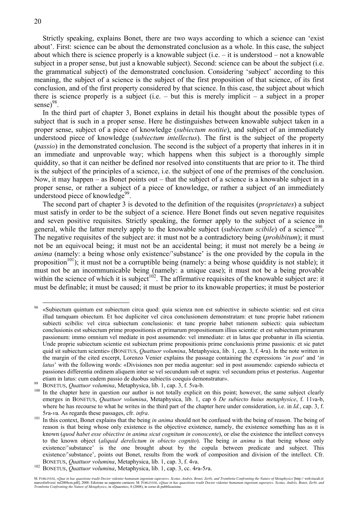Strictly speaking, explains Bonet, there are two ways according to which a science can 'exist about'. First: science can be about the demonstrated conclusion as a whole. In this case, the subject about which there is science properly is a knowable subject  $(i.e. - it is understood - not a knowledge$ subject in a proper sense, but just a knowable subject). Second: science can be about the subject (i.e. the grammatical subject) of the demonstrated conclusion. Considering 'subject' according to this meaning, the subject of a science is the subject of the first proposition of that science, of its first conclusion, and of the first property considered by that science. In this case, the subject about which there is science properly is a subject (i.e.  $-$  but this is merely implicit  $-$  a subject in a proper sense $9^{98}$ .

In the third part of chapter 3, Bonet explains in detail his thought about the possible types of subject that is such in a proper sense. Here he distinguishes between knowable subject taken in a proper sense, subject of a piece of knowledge (*subiectum notitie*), and subject of an immediately understood piece of knowledge (*subiectum intellectus*). The first is the subject of the property (*passio*) in the demonstrated conclusion. The second is the subject of a property that inheres in it in an immediate and unprovable way; which happens when this subject is a thoroughly simple quiddity, so that it can neither be defined nor resolved into constituents that are prior to it. The third is the subject of the principles of a science, i.e. the subject of one of the premises of the conclusion. Now, it may happen – as Bonet points out – that the subject of a science is a knowable subject in a proper sense, or rather a subject of a piece of knowledge, or rather a subject of an immediately understood piece of knowledge $99$ .

The second part of chapter 3 is devoted to the definition of the requisites (*proprietates*) a subject must satisfy in order to be the subject of a science. Here Bonet finds out seven negative requisites and seven positive requisites. Strictly speaking, the former apply to the subject of a science in general, while the latter merely apply to the knowable subject (*subiectum scibile*) of a science<sup>100</sup>. The negative requisites of the subject are: it must not be a contradictory being (*prohibitum*); it must not be an equivocal being; it must not be an accidental being; it must not merely be a being *in anima* (namely: a being whose only existence/'substance' is the one provided by the copula in the proposition<sup>101</sup>); it must not be a corruptible being (namely: a being whose quiddity is not stable); it must not be an incommunicable being (namely: a unique case); it must not be a being provable within the science of which it is subject<sup>102</sup>. The affirmative requisites of the knowable subject are: it must be definable; it must be caused; it must be prior to its knowable properties; it must be posterior

 <sup>98 «</sup>Subiectum quintum est subiectum circa quod: quia scienza non est subiective in subiecto scientie: sed est circa illud tamquam obiectum. Et hoc dupliciter vel circa conclusionem demonstratam: et tunc proprie habet rationem subiecti scibilis: vel circa subiectum conclusionis: et tunc proprie habet rationem subiecti: quia subiectum conclusionis est subiectum prime propositionis et primarum propositionum illius scientie: et est subiectum primarum passionum: immo omnium vel mediate in post assumendo: vel immediate: et in latus que probantur in illa scientia. Unde proprie subiectum scientie est subiectum prime propositionis prime conclusionis prime passionis: et sic patet quid sit subiectum scientie» (BONETUS, *Quattuor volumina*, Metaphysica, lib. 1, cap. 3, f. 4*r*a). In the note written in the margin of the cited excerpt, Lorenzo Venier explains the passage containing the expressions '*in post*' and '*in latus*' with the following words: «Divisiones non per media augentur: sed in post assumendo: capiendo subiecta et passiones differentia ordinem aliquem inter se vel secundum sub et supra: vel secundum prius et posterius. Augentur etiam in latus: cum eadem passio de duobus subiectis coequis demonstratur».<br>
<sup>99</sup> BONETUS, *Quattuor volumina*, Metaphysica, lib. 1, cap. 3, f. 5va-b.<br>
<sup>100</sup> In the chapter here in question our author is not totally explic

emerges in BONETUS, *Quattuor volumina*, Metaphysica, lib. 1, cap 6 *De subiecto huius metaphysice*, f. 11*v*a-b, where he has recourse to what he writes in the third part of the chapter here under consideration, i.e. in *Id.*, cap. 3, f. <sup>5</sup>*r*a-*v*a. As regards these passages, cfr. *infra*. 101 In this context, Bonet explains that the being *in anima* should not be confused with the being of reason. The being of

reason is that being whose only existence is the objective existence, namely, the existence something has as it is known (*quod habet esse obiective in anima sicut cognitum in conoscente*), or else the existence the intellect conveys to the known object (*aliquid derelictum in obiecto cognito*). The being *in anima* is that being whose only existence/'substance' is the one brought about by the copula between predicate and subject. This existence/'substance', points out Bonet, results from the work of composition and division of the intellect. Cfr. BONETUS, *Quattuor volumina*, Metaphysica, lib. 1, cap. 3, f. 4*v*a. 102 BONETUS, *Quattuor volumina*, Metaphysica, lib. 1, cap. 3, cc. 4*r*a-5*r*a.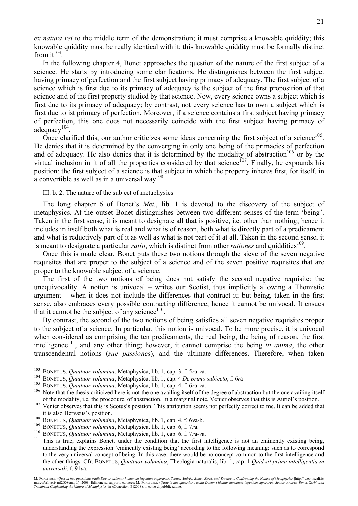*ex natura rei* to the middle term of the demonstration; it must comprise a knowable quiddity; this knowable quiddity must be really identical with it; this knowable quiddity must be formally distinct from  $it^{103}$ .

In the following chapter 4, Bonet approaches the question of the nature of the first subject of a science. He starts by introducing some clarifications. He distinguishes between the first subject having primacy of perfection and the first subject having primacy of adequacy. The first subject of a science which is first due to its primacy of adequacy is the subject of the first proposition of that science and of the first property studied by that science. Now, every science owns a subject which is first due to its primacy of adequacy; by contrast, not every science has to own a subject which is first due to ist primacy of perfection. Moreover, if a science contains a first subject having primacy of perfection, this one does not necessarily coincide with the first subject having primacy of adequacy<sup>104</sup>.

Once clarified this, our author criticizes some ideas concerning the first subject of a science<sup>105</sup>. He denies that it is determined by the converging in only one being of the primacies of perfection and of adequacy. He also denies that it is determined by the modality of abstraction<sup>106</sup> or by the virtual inclusion in it of all the properties considered by that science<sup> $107$ </sup>. Finally, he expounds his position: the first subject of a science is that subject in which the property inheres first, for itself, in a convertible as well as in a universal way<sup>108</sup>.

# III. b. 2. The nature of the subject of metaphysics

The long chapter 6 of Bonet's *Met.*, lib. 1 is devoted to the discovery of the subject of metaphysics. At the outset Bonet distinguishes between two different senses of the term 'being'. Taken in the first sense, it is meant to designate all that is positive, i.e. other than nothing; hence it includes in itself both what is real and what is of reason, both what is directly part of a predicament and what is reductively part of it as well as what is not part of it at all. Taken in the second sense, it is meant to designate a particular *ratio*, which is distinct from other *rationes* and quiddities<sup>109</sup>.

Once this is made clear, Bonet puts these two notions through the sieve of the seven negative requisites that are proper to the subject of a science and of the seven positive requisites that are proper to the knowable subject of a science.

The first of the two notions of being does not satisfy the second negative requisite: the unequivocality. A notion is univocal – writes our Scotist, thus implicitly allowing a Thomistic argument – when it does not include the differences that contract it; but being, taken in the first sense, also embraces every possible contracting difference; hence it cannot be univocal. It ensues that it cannot be the subject of any science $110$ .

By contrast, the second of the two notions of being satisfies all seven negative requisites proper to the subject of a science. In particular, this notion is univocal. To be more precise, it is univocal when considered as comprising the ten predicaments, the real being, the being of reason, the first intelligence<sup>111</sup>, and any other thing; however, it cannot comprise the being *in anima*, the other transcendental notions (*sue passiones*), and the ultimate differences. Therefore, when taken

<sup>&</sup>lt;sup>103</sup> BONETUS, *Quattuor volumina*, Metaphysica, lib. 1, cap. 3, f. 5ra-va.<br><sup>104</sup> BONETUS, *Quattuor volumina*, Metaphysica, lib. 1, cap. 4 *De primo subiecto*, f. 6ra.<br><sup>105</sup> BONETUS, *Quattuor volumina*, Metaphysica, lib of the modality, i.e. the procedure, of abstraction. In a marginal note, Venier observes that this is Auriol's position.<br><sup>107</sup> Venier observes that this is Scotus's position. This attribution seems not perfectly correct to

it is also Hervæus's position.<br>
<sup>108</sup> BONETUS, *Quattuor volumina*, Metaphysica, lib. 1, cap. 4, f. 6va-b.<br>
<sup>109</sup> BONETUS, *Quattuor volumina*, Metaphysica, lib. 1, cap. 6, f. 7ra.<br>
<sup>110</sup> BONETUS, *Quattuor volumina*, Meta

understanding the expression 'eminently existing being' according to the following meaning: such as to correspond to the very universal concept of being. In this case, there would be no concept common to the first intelligence and the other things. Cfr. BONETUS, *Quattuor volumina*, Theologia naturalis, lib. 1, cap. 1 *Quid sit prima intelligentia in universali*, f. 91*v*a.

M. FORLIVESI, «Quæ in hac quæstione tradit Doctor videntur humanum ingenium superare». Scotus, Andrés, Bonet, Zerbi, and Trombetta Confronting the Nature of Metaphysics [http:// web.tiscali.it/<br>marcoforlivesi/ mi2008cm.pdf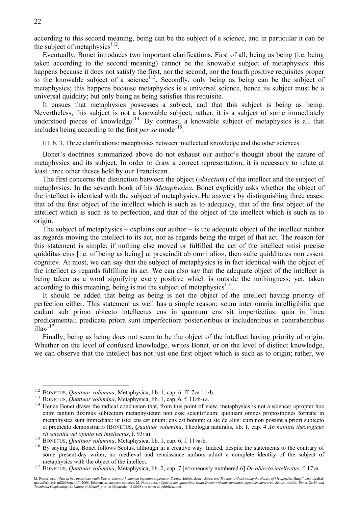according to this second meaning, being can be the subject of a science, and in particular it can be the subject of metaphysics $112$ .

Eventually, Bonet introduces two important clarifications. First of all, being as being (i.e. being taken according to the second meaning) cannot be the knowable subject of metaphysics: this happens because it does not satisfy the first, nor the second, nor the fourth positive requisites proper to the knowable subject of a science<sup>113</sup>. Secondly, only being as being can be the subject of metaphysics; this happens because metaphysics is a universal science, hence its subject must be a universal quiddity; but only being as being satisfies this requisite.

It ensues that metaphysics possesses a subject, and that this subject is being as being. Nevertheless, this subject is not a knowable subject; rather, it is a subject of some immediately understood pieces of knowledge<sup>114</sup>. By contrast, a knowable subject of metaphysics is all that includes being according to the first *per se* mode<sup>115</sup>

III. b. 3. Three clarifications: metaphysics between intellectual knowledge and the other sciences

Bonet's doctrines summarized above do not exhaust our author's thought about the nature of metaphysics and its subject. In order to draw a correct representation, it is necessary to relate at least three other theses held by our Franciscan.

The first concerns the distinction between the object (*obiectum*) of the intellect and the subject of metaphysics. In the seventh book of his *Metaphysica*, Bonet explicitly asks whether the object of the intellect is identical with the subject of metaphysics. He answers by distinguishing three cases: that of the first object of the intellect which is such as to adequacy, that of the first object of the intellect which is such as to perfection, and that of the object of the intellect which is such as to origin.

The subject of metaphysics – explains our author – is the adequate object of the intellect neither as regards moving the intellect to its act, nor as regards being the target of that act. The reason for this statement is simple: if nothing else moved or fulfilled the act of the intellect «nisi precise quidditas eius [i.e. of being as being] ut prescindit ab omni alio», then «alie quidditates non essent cognite». At most, we can say that the subject of metaphysics is in fact identical with the object of the intellect as regards fulfilling its act. We can also say that the adequate object of the intellect is being taken as a word signifying every positive which is outside the nothingness; yet, taken according to this meaning, being is not the subject of metaphysics $116$ .

It should be added that being as being is not the object of the intellect having priority of perfection either. This statement as well has a simple reason: «cum inter omnia intelligibilia que cadunt sub primo obiecto intellectus ens in quantum ens sit imperfectius: quia in linea predicamentali predicata priora sunt imperfectiora posterioribus et includentibus et contrahentibus  $\frac{1}{1}$ lla $\frac{117}{1}$ .

Finally, being as being does not seem to be the object of the intellect having priority of origin. Whether on the level of confused knowledge, writes Bonet, or on the level of distinct knowledge, we can observe that the intellect has not just one first object which is such as to origin; rather, we

<sup>&</sup>lt;sup>112</sup> BONETUS, *Quattuor volumina*, Metaphysica, lib. 1, cap. 6, ff. 7*va*-11*rb*.<br><sup>113</sup> BONETUS, *Quattuor volumina*, Metaphysica, lib. 1, cap. 6, f. 11*rb*-*va*.<br><sup>114</sup> Hence Bonet draws the radical conclusion that, from enim tantum diximus subiectum metaphysicum non esse scientificum: quoniam omnes propositiones formate in metaphysica sunt immediate: ut iste: ens est unum: ens est bonum: et sic de aliis: cum non possint a priori subiecto et predicato demonstrari» (BONETUS, *Quattuor volumina*, Theologia naturalis, lib. 1, cap. 4 *An habitus theologicus* 

<sup>&</sup>lt;sup>115</sup> BONETUS, *Quattuor volumina*, Metaphysica, lib. 1, cap. 6, f. 11va-b.<br><sup>116</sup> By saying this, Bonet follows Scotus, although in a creative way. Indeed, despite the statements to the contrary of some present-day writer, no medieval and renaissance authors admit a complete identity of the subject of metaphysics with the object of the intellect.<br><sup>117</sup> BONETUS, *Quattuor volumina*, Metaphysica, lib. 2, cap. 7 [erroneously numbered 6] *De obiecto intellectus*, f. 17*va*.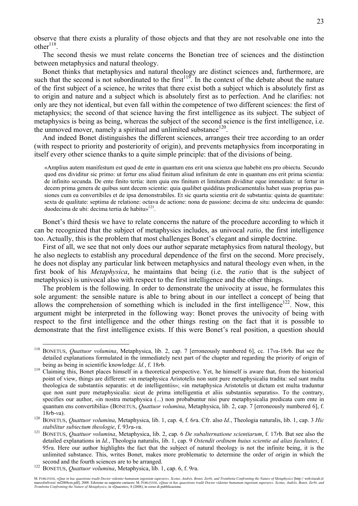observe that there exists a plurality of those objects and that they are not resolvable one into the other<sup>118</sup>

The second thesis we must relate concerns the Bonetian tree of sciences and the distinction between metaphysics and natural theology.

Bonet thinks that metaphysics and natural theology are distinct sciences and, furthermore, are such that the second is not subordinated to the first $119$ . In the context of the debate about the nature of the first subject of a science, he writes that there exist both a subject which is absolutely first as to origin and nature and a subject which is absolutely first as to perfection. And he clarifies: not only are they not identical, but even fall within the competence of two different sciences: the first of metaphysics; the second of that science having the first intelligence as its subject. The subject of metaphysics is being as being, whereas the subject of the second science is the first intelligence, i.e. the unmoved mover, namely a spiritual and unlimited substance<sup>120</sup>.

And indeed Bonet distinguishes the different sciences, arranges their tree according to an order (with respect to priority and posteriority of origin), and prevents metaphysics from incorporating in itself every other science thanks to a quite simple principle: that of the divisions of being.

«Amplius autem manifestum est quod de ente in quantum ens erit una scienza que habebit ens pro obiectu. Secundo quod ens dividitur sic primo: ut fertur ens aliud finitum aliud infinitum de ente in quantum ens erit prima scientia: de infinito secunda. De ente finito tertia: item quia ens finitum et limitatum dividitur eque immediate: ut fertur in decem prima genera de quibus sunt decem scientie: quia qualibet quidditas predicamentalis habet suas proprias passiones cum ea convertibiles et de ipsa demonstrabiles. Et sic quarta scientia erit de substantia: quinta de quantitate: sexta de qualitate: septima de relatione: octava de actione: nona de passione: decima de situ: undecima de quando: duodecima de ubi: decima tertia de habitu»<sup>121</sup>.

Bonet's third thesis we have to relate concerns the nature of the procedure according to which it can be recognized that the subject of metaphysics includes, as univocal *ratio*, the first intelligence too. Actually, this is the problem that most challenges Bonet's elegant and simple doctrine.

First of all, we see that not only does our author separate metaphysics from natural theology, but he also neglects to establish any procedural dependence of the first on the second. More precisely, he does not display any particular link between metaphysics and natural theology even when, in the first book of his *Metaphysica*, he maintains that being (i.e. the *ratio* that is the subject of metaphysics) is univocal also with respect to the first intelligence and the other things.

The problem is the following. In order to demonstrate the univocity at issue, he formulates this sole argument: the sensible nature is able to bring about in our intellect a concept of being that allows the comprehension of something which is included in the first intelligence<sup>122</sup>. Now, this argument might be interpreted in the following way: Bonet proves the univocity of being with respect to the first intelligence and the other things resting on the fact that it is possible to demonstrate that the first intelligence exists. If this were Bonet's real position, a question should

 <sup>118</sup> BONETUS, *Quattuor volumina*, Metaphysica, lib. 2, cap. 7 [erroneously numbered 6], cc. 17*v*a-18*r*b. But see the detailed explanations formulated in the immediately next part of the chapter and regarding the priority of origin of being as being in scientific knowledge: *Id.*, f. 18*r*b.<br>Claiming this, Bonet places himself in a theoretical perspective. Yet, he himself is aware that, from the historical

point of view, things are different: «in metaphysica Aristotelis non sunt pure metaphysicalia tradita: sed sunt multa theologica de substantiis separatis: et de intelligentiis»; «in metaphysica Aristotelis ut dictum est multa traduntur que non sunt pure metaphysicalia: sicut de prima intelligentia et aliis substantiis separatis». To the contrary, specifies our author, «in nostra metaphysica (...) non probabuntur nisi pure metaphysicalia predicata cum ente in quantum ens convertibilia» (BONETUS, *Quattuor volumina*, Metaphysica, lib. 2, cap. 7 [erroneously numbered 6], f.

<sup>18</sup>*r*b-*v*a). 120 BONETUS, *Quattuor volumina*, Metaphysica, lib. 1, cap. 4, f. 6*r*a. Cfr. also *Id.*, Theologia naturalis, lib. 1, cap. 3 *Hic* 

*stabilitur subiectum theologie*, f. 93*r*a-*v*a. 121 BONETUS, *Quattuor volumina*, Metaphysica, lib. 2, cap. 6 *De subalternatione scientiarum*, f. 17*r*b. But see also the detailed explanations in *Id.*, Theologia naturalis, lib. 1, cap. 9 *Ostendit ordinem huius scientie ad alias facultates*, f. 95*r*a. Here our author highlights the fact that the subject of natural theology is not the infinite being, it is the unlimited substance. This, writes Bonet, makes more problematic to determine the order of origin in which the second and the fourth sciences are to be arranged. 122 BONETUS, *Quattuor volumina*, Metaphysica, lib. 1, cap. 6, f. 9*r*a.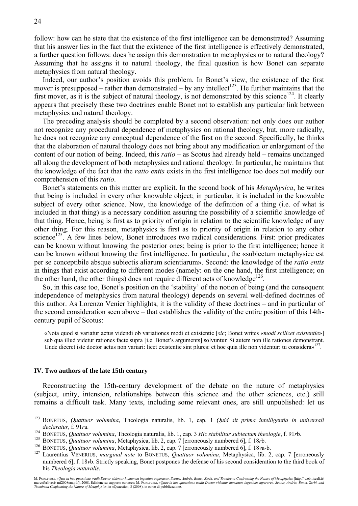follow: how can he state that the existence of the first intelligence can be demonstrated? Assuming that his answer lies in the fact that the existence of the first intelligence is effectively demonstrated, a further question follows: does he assign this demonstration to metaphysics or to natural theology? Assuming that he assigns it to natural theology, the final question is how Bonet can separate metaphysics from natural theology.

Indeed, our author's position avoids this problem. In Bonet's view, the existence of the first mover is presupposed – rather than demonstrated – by any intellect<sup>123</sup>. He further maintains that the first mover, as it is the subject of natural theology, is not demonstrated by this science<sup>124</sup>. It clearly appears that precisely these two doctrines enable Bonet not to establish any particular link between metaphysics and natural theology.

The preceding analysis should be completed by a second observation: not only does our author not recognize any procedural dependence of metaphysics on rational theology, but, more radically, he does not recognize any conceptual dependence of the first on the second. Specifically, he thinks that the elaboration of natural theology does not bring about any modification or enlargement of the content of our notion of being. Indeed, this *ratio* – as Scotus had already held – remains unchanged all along the development of both metaphysics and rational theology. In particular, he maintains that the knowledge of the fact that the *ratio entis* exists in the first intelligence too does not modify our comprehension of this *ratio*.

Bonet's statements on this matter are explicit. In the second book of his *Metaphysica*, he writes that being is included in every other knowable object; in particular, it is included in the knowable subject of every other science. Now, the knowledge of the definition of a thing (i.e. of what is included in that thing) is a necessary condition assuring the possibility of a scientific knowledge of that thing. Hence, being is first as to priority of origin in relation to the scientific knowledge of any other thing. For this reason, metaphysics is first as to priority of origin in relation to any other science<sup>125</sup>. A few lines below, Bonet introduces two radical considerations. First: prior predicates can be known without knowing the posterior ones; being is prior to the first intelligence; hence it can be known without knowing the first intelligence. In particular, the «subiectum metaphysice est per se conceptibile absque subiectis aliarum scientiarum». Second: the knowledge of the *ratio entis* in things that exist according to different modes (namely: on the one hand, the first intelligence; on the other hand, the other things) does not require different acts of knowledge<sup>126</sup>.

So, in this case too, Bonet's position on the 'stability' of the notion of being (and the consequent independence of metaphysics from natural theology) depends on several well-defined doctrines of this author. As Lorenzo Venier highlights, it is the validity of these doctrines – and in particular of the second consideration seen above – that establishes the validity of the entire position of this 14thcentury pupil of Scotus:

«Nota quod si variatur actus videndi ob variationes modi et existentie [*sic*; Bonet writes «*modi scilicet existentie*»] sub qua illud videtur rationes facte supra [i.e. Bonet's arguments] solvuntur. Si autem non ille rationes demonstrant. Unde diceret iste doctor actus non variari: licet existentie sint plures: et hoc quia ille non videntur: tu considera»<sup>127</sup>.

#### **IV. Two authors of the late 15th century**

Reconstructing the 15th-century development of the debate on the nature of metaphysics (subject, unity, intension, relationships between this science and the other sciences, etc.) still remains a difficult task. Many texts, including some relevant ones, are still unpublished: let us

M. FORLIVESI, «Quæ in hac quæstione tradit Doctor videntur humanum ingenium superare». Scotus, Andrés, Bonet, Zerbi, and Trombetta Confronting the Nature of Metaphysics [http:// web.tiscali.it/<br>marcoforlivesi/ mi2008cm.pdf

 <sup>123</sup> BONETUS, *Quattuor volumina*, Theologia naturalis, lib. 1, cap. 1 *Quid sit prima intelligentia in universali* 

declaratur, f. 91ra.<br>
<sup>124</sup> BONETUS, *Quattuor volumina*, Theologia naturalis, lib. 1, cap. 3 *Hic stabilitur subiectum theologie*, f. 91rb.<br>
<sup>125</sup> BONETUS, *Quattuor volumina*, Metaphysica, lib. 2, cap. 7 [erroneously num numbered 6], f. 18*v*b. Strictly speaking, Bonet postpones the defense of his second consideration to the third book of his *Theologia naturalis*.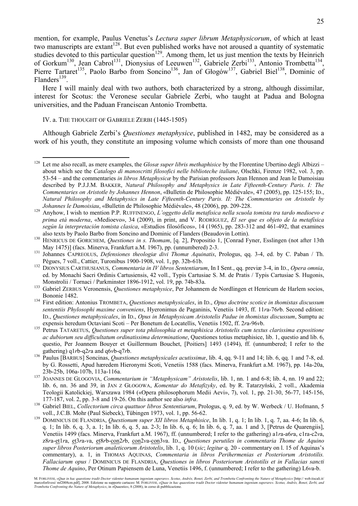mention, for example, Paulus Venetus's *Lectura super librum Metaphysicorum*, of which at least two manuscripts are extant<sup>128</sup>. But even published works have not aroused a quantity of systematic studies devoted to this particular question<sup>129</sup>. Among them, let us just mention the texts by Heinrich of Gorkum<sup>130</sup>, Jean Cabrol<sup>131</sup>, Dionysius of Leeuwen<sup>132</sup>, Gabriele Zerbi<sup>133</sup>, Antonio Trombetta<sup>134</sup>, Pierre Tartaret<sup>135</sup>, Paolo Barbo from Soncino<sup>136</sup>, Jan of Głogów<sup>137</sup>, Gabriel Biel<sup>138</sup>, Dominic of Flanders<sup>139</sup>

Here I will mainly deal with two authors, both characterized by a strong, although dissimilar, interest for Scotus: the Veronese secular Gabriele Zerbi, who taught at Padua and Bologna universities, and the Paduan Franciscan Antonio Trombetta.

IV. a. THE THOUGHT OF GABRIELE ZERBI (1445-1505)

Although Gabriele Zerbi's *Questiones metaphysice*, published in 1482, may be considered as a work of his youth, they constitute an imposing volume which consists of more than one thousand

q. 1; In lib. 6, q. 3, a. 1; In lib. 6, q. 5, aa. 2-3; In lib. 6, q. 6; In lib. 6, q. 7, aa. 1 and 3, [Petrus de Quarengiis], Venetiis 1499 (facs. Minerva, Frankfurt a.M. 1967), ff. (unnumbered; I refer to the gathering) a1*r*a-a6*r*a, c1ra-c2*v*a, z8*r*a-et1*r*a, et3*r*a-*v*a, et8*r*b-con2*r*b, con2*v*a-con3*v*a. ID., *Questiones perutiles in commentaria Thome de Aquino super libros Posteriorum analeticorum Aristotelis*, lib. 1, q. 10 (*sic*; *legitur* q. 20 - commentary on l. 15 of Aquinas's commentary), a. 1, in THOMAS AQUINAS, *Commentaria in libros Perihermenias et Posteriorum Aristotilis. Fallaciarum opus* / DOMINICUS DE FLANDRIA, *Questiones in libros Posteriorum Aristotilis et in Fallacias sancti Thome de Aquino*, Per Otinum Papiensem de Luna, Venetiis 1496, f. (unnumbered; I refer to the gathering) L6*v*a-b.

 <sup>128</sup> Let me also recall, as mere examples, the *Glosæ super libris methaphisice* by the Florentine Ubertino degli Albizzi – about which see the *Catalogo di manoscritti filosofici nelle biblioteche italiane*, Olschki, Firenze 1982, vol. 3, pp. 53-54 – and the commentaries *in libros Metaphysicæ* by the Parisian professors Jean Hennon and Jean le Damoisiau described by P.J.J.M. BAKKER, *Natural Philosophy and Metaphysics in Late Fifteenth-Century Paris. I: The Commentaries on Aristotle by Johannes Hennon*, «Bulletin de Philosophie Médiévale», 47 (2005), pp. 125-155; ID., *Natural Philosophy and Metaphysics in Late Fifteenth-Century Paris. II: The Commentaries on Aristotle by* 

*Johannes le Damoisiau*, «Bulletin de Philosophie Médiévale», 48 (2006), pp. 209-228. 129 Anyhow, I wish to mention P.P. RUFFINENGO, *L'oggetto della metafisica nella scuola tomista tra tardo medioevo e prima età moderna*, «Medioevo», 34 (2009), in print, and V. RODRÍGUEZ, *El ser que es objeto de la metafísica según la interpretación tomista clasica*, «Estudios filosóficos», 14 (1965), pp. 283-312 and 461-492, that examines also texts by Paolo Barbo from Soncino and Dominic of Flanders (Beaudovin Lottin). 130 HENRICUS DE GORICHEM, *Questiones in s. Thomam*, [q. 2], Propositio 1, [Conrad Fyner, Esslingen (not after 13th

May 1475)] (facs. Minerva, Frankfurt a.M. 1967), pp. (unnumbered) 2-3. 131 Johannes CAPREOLUS, *Defensiones theologiæ divi Thomæ Aquinatis*, Prologus, qq. 3-4, ed. by C. Paban / Th.

Pègues, 7 voll., Cattier, Turonibus 1900-1908, vol. 1, pp. 32b-61b. 132 DIONYSIUS CARTHUSIANUS, *Commentaria in IV libros Sententiarum*, In I Sent., qq. previæ 3-4, in ID., *Opera omnia*, ed. by Monachi Sacri Ordinis Cartusiensis, 42 voll., Typis Cartusiae S. M. de Pratis / Typis Cartusiae S. Hugonis, Monstrolii / Tornaci / Parkminster 1896-1912, vol. 19, pp. 74b-83a. 133 Gabriel ZERBUS Veronensis, *Questiones metaphysice*, Per Johannem de Nordlingen et Henricum de Harlem socios,

Bononie 1482. 134 First edition: Antonius TROMBETA, *Questiones metaphysicales*, in ID., *Opus doctrine scotice in thomistas discussum* 

*sententiis Phylosophi maxime conveniens*, Hyeronimus de Paganinis, Venetiis 1493, ff. 11*r*a-76*r*b. Second edition: ID., *Questiones metaphysicales*, in ID., *Opus in Metaphysicam Aristotelis Padue in thomistas discussum*, Sumptu ac

expensis heredum Octaviani Scoti – Per Bonetum de Locatellis, Venetiis 1502, ff. 2ra-96vb.<br><sup>135</sup> Petrus TATARETUS, *Ouestiones super tota philosophia et metaphisica Aristotelis cum textus clarissima expositione ac dubiorum seu difficultatum ordinatissima determinatione*, Questiones totius metaphisice, lib. 1, questio and lib. 6, questio, Per Joannem Bouyer et Guillermum Bouchet, [Poitiers] 1493 (1494), ff. (unnumbered; I refer to the gathering) q1*r*b-q2*ra* and q6*v*b-q7*rb*.<br>Paulus [BARBUS] Soncinas, *Quæstiones metaphysicales acutissimæ*, lib. 4, qq. 9-11 and 14; lib. 6, qq. 1 and 7-8, ed.

by G. Rossetti, Apud hæredem Hieronymi Scoti, Venetiis 1588 (facs. Minerva, Frankfurt a.M. 1967), pp. 14a-20a, 23b-25b, 106a-107b, 113a-116a. 137 JOANNES DE GLOGOVIA, *Commentarium in "Metaphysicam" Aristotelis*, lib. 1, nn. 1 and 6-8; lib. 4, nn. 19 and 22;

lib. 6, nn. 36 and 39, in JAN Z GŁOGOWA, *Komentar do Metafizyky*, ed. by R. Tatarzyński, 2 voll., Akademia Teologii Katolickiej, Warszawa 1984 («Opera philosophorum Medii Aevi», 7), vol. 1, pp. 21-30, 56-77, 145-156, 177-187, vol. 2, pp. 3-8 and 19-26. On this author see also *infra*. 138 Gabriel BIEL, *Collectorium circa quattuor libros Sententiarum*, Prologus, q. 9, ed. by W. Werbeck / U. Hofmann, 5

voll., J.C.B. Mohr (Paul Siebeck), Tübingen 1973, vol. 1, pp. 56-62. 139 DOMINICUS DE FLANDRIA, *Questionum super XII libros Metaphisice*, In lib. 1, q. 1; In lib. 1, q. 7, aa. 4-6; In lib. 6,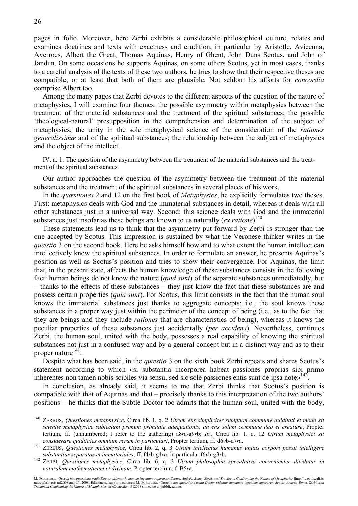pages in folio. Moreover, here Zerbi exhibits a considerable philosophical culture, relates and examines doctrines and texts with exactness and erudition, in particular by Aristotle, Avicenna, Averroes, Albert the Great, Thomas Aquinas, Henry of Ghent, John Duns Scotus, and John of Jandun. On some occasions he supports Aquinas, on some others Scotus, yet in most cases, thanks to a careful analysis of the texts of these two authors, he tries to show that their respective theses are compatible, or at least that both of them are plausible. Not seldom his afforts for *concordia* comprise Albert too.

Among the many pages that Zerbi devotes to the different aspects of the question of the nature of metaphysics, I will examine four themes: the possible asymmetry within metaphysics between the treatment of the material substances and the treatment of the spiritual substances; the possible 'theological-natural' presupposition in the comprehension and determination of the subject of metaphysics; the unity in the sole metaphysical science of the consideration of the *rationes generalissimæ* and of the spiritual substances; the relationship between the subject of metaphysics and the object of the intellect.

IV. a. 1. The question of the asymmetry between the treatment of the material substances and the treatment of the spiritual substances

Our author approaches the question of the asymmetry between the treatment of the material substances and the treatment of the spiritual substances in several places of his work.

In the *quæstiones* 2 and 12 on the first book of *Metaphysics*, he explicitly formulates two theses. First: metaphysics deals with God and the immaterial substances in detail, whereas it deals with all other substances just in a universal way. Second: this science deals with God and the immaterial substances just insofar as these beings are known to us naturally (*ex ratione*) 140.

These statements lead us to think that the asymmetry put forward by Zerbi is stronger than the one accepted by Scotus. This impression is sustained by what the Veronese thinker writes in the *quæstio* 3 on the second book. Here he asks himself how and to what extent the human intellect can intellectively know the spiritual substances. In order to formulate an answer, he presents Aquinas's position as well as Scotus's position and tries to show their convergence. For Aquinas, the limit that, in the present state, affects the human knowledge of these substances consists in the following fact: human beings do not know the nature (*quid sunt*) of the separate substances unmediatedly, but – thanks to the effects of these substances – they just know the fact that these substances are and possess certain properties (*quia sunt*). For Scotus, this limit consists in the fact that the human soul knows the immaterial substances just thanks to aggregate concepts; i.e., the soul knows these substances in a proper way just within the perimeter of the concept of being (i.e., as to the fact that they are beings and they include *rationes* that are characteristics of being), whereas it knows the peculiar properties of these substances just accidentally (*per accidens*). Nevertheless, continues Zerbi, the human soul, united with the body, possesses a real capability of knowing the spiritual substances not just in a confused way and by a general concept but in a distinct way and as to their proper nature $141$ .

Despite what has been said, in the *quæstio* 3 on the sixth book Zerbi repeats and shares Scotus's statement according to which «si substantia incorporea habeat passiones proprias sibi primo inherentes non tamen nobis scibiles via sensu. sed sic sole passiones entis sunt de ipsa note»<sup>142</sup>

In conclusion, as already said, it seems to me that Zerbi thinks that Scotus's position is compatible with that of Aquinas and that – precisely thanks to this interpretation of the two authors' positions – he thinks that the Subtle Doctor too admits that the human soul, united with the body,

26

M. FORLIVESI, «Quæ in hac quæstione tradit Doctor videntur humanum ingenium superare». Scotus, Andrés, Bonet, Zerbi, and Trombetta Confronting the Nature of Metaphysics [http:// web.tiscali.it/<br>marcoforlivesi/ mi2008cm.pdf

 <sup>140</sup> ZERBUS, *Questiones metaphysice*, Circa lib. 1, q. 2 *Utrum ens simpliciter sumptum commune quiditati et modo sit scientie metaphysice subiectum primum primitate adequationis, an ens solum commune deo et creature*, Propter tertium, ff. (unnumbered; I refer to the gathering) a8*r*a-a9*r*b; *Ib.*, Circa lib. 1, q. 12 *Utrum metaphysici sit* 

considerare quiditates omnium rerum in particulari, Propter tertium, ff. d6vb-d7ra.<br><sup>141</sup> ZERBUS, Questiones metaphysice, Circa lib. 2, q. 3 Utrum intellectus humanus unitus corpori possit intelligere

substantias separatas et immateriales, ff. f4rb-g4ra, in particular f6vb-g3rb.<br><sup>142</sup> ZERBI, Questiones metaphysice, Circa lib. 6, q. 3 Utrum philosophia speculativa convenienter dividatur in *naturalem mathematicam et divinam*, Propter tercium, f. B5*r*a.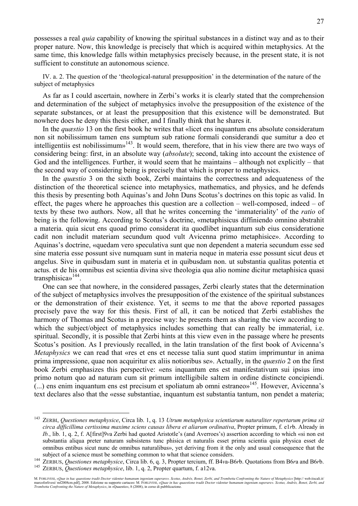possesses a real *quia* capability of knowing the spiritual substances in a distinct way and as to their proper nature. Now, this knowledge is precisely that which is acquired within metaphysics. At the same time, this knowledge falls within metaphysics precisely because, in the present state, it is not sufficient to constitute an autonomous science.

IV. a. 2. The question of the 'theological-natural presupposition' in the determination of the nature of the subject of metaphysics

As far as I could ascertain, nowhere in Zerbi's works it is clearly stated that the comprehension and determination of the subject of metaphysics involve the presupposition of the existence of the separate substances, or at least the presupposition that this existence will be demonstrated. But nowhere does he deny this thesis either, and I finally think that he shares it.

In the *quæstio* 13 on the first book he writes that «licet ens inquantum ens absolute consideratum non sit nobilissimum tamen ens sumptum sub ratione formali considerandi que sumitur a deo et intelligentiis est nobilissimum»143. It would seem, therefore, that in his view there are two ways of considering being: first, in an absolute way (*absolute*); second, taking into account the existence of God and the intelligences. Further, it would seem that he maintains – although not explicitly – that the second way of considering being is precisely that which is proper to metaphysics.

In the *quæstio* 3 on the sixth book, Zerbi maintains the correctness and adequateness of the distinction of the theoretical science into metaphysics, mathematics, and physics, and he defends this thesis by presenting both Aquinas's and John Duns Scotus's doctrines on this topic as valid. In effect, the pages where he approaches this question are a collection – well-composed, indeed – of texts by these two authors. Now, all that he writes concerning the 'immateriality' of the *ratio* of being is the following. According to Scotus's doctrine, «metaphisicus diffiniendo omnino abstrahit a materia. quia sicut ens quoad primo considerat ita quodlibet inquantum sub eius consideratione cadit non includit materiam secundum quod vult Avicenna primo metaphisice». According to Aquinas's doctrine, «quedam vero speculativa sunt que non dependent a materia secundum esse sed sine materia esse possunt sive numquam sunt in materia neque in materia esse possunt sicut deus et angelus. Sive in quibusdam sunt in materia et in quibusdam non. ut substantia qualitas potentia et actus. et de his omnibus est scientia divina sive theologia qua alio nomine dicitur metaphisica quasi  $transphisica<sup>144</sup>$ .

One can see that nowhere, in the considered passages, Zerbi clearly states that the determination of the subject of metaphysics involves the presupposition of the existence of the spiritual substances or the demonstration of their existence. Yet, it seems to me that the above reported passages precisely pave the way for this thesis. First of all, it can be noticed that Zerbi establishes the harmony of Thomas and Scotus in a precise way: he presents them as sharing the view according to which the subject/object of metaphysics includes something that can really be immaterial, i.e. spiritual. Secondly, it is possible that Zerbi hints at this view even in the passage where he presents Scotus's position. As I previously recalled, in the latin translation of the first book of Avicenna's *Metaphysics* we can read that «res et ens et necesse talia sunt quod statim imprimuntur in anima prima impressione, quae non acquiritur ex aliis notioribus se». Actually, in the *quæstio* 2 on the first book Zerbi emphasizes this perspective: «ens inquantum ens est manifestativum sui ipsius imo primo notum quo ad naturam cum sit primum intelligibile saltem in ordine distincte concipiendi.  $\mu$ ...) ens enim inquantum ens est precisum et spoliatum ab omni estraneo»<sup>145</sup>. However, Avicenna's text declares also that the «esse substantiae, inquantum est substantia tantum, non pendet a materia;

 <sup>143</sup> ZERBI, *Questiones metaphysice*, Circa lib. 1, q. 13 *Utrum metaphysica scientiarum naturaliter repertarum prima sit circa difficillima certissima maxime sciens causas libera et aliarum ordinativa*, Propter primum, f. e1*r*b. Already in *Ib.*, lib. 1, q. 2, f. A[first]9*va Zerbi had quoted Aristotle's (and Averroes's) assertion according to which «si non est* substantia aliqua preter naturam subsistens tunc phisica et naturalis esset prima scientia quia physica esset de omnibus entibus sicut nunc de omnibus naturalibus», yet deriving from it the only and usual consequence that the

subject of a science must be something common to what that science considers.<br><sup>144</sup> ZERBUS, *Questiones metaphysice*, Circa lib. 6, q. 3, Propter tercium, ff. B4va-B6rb. Quotations from B6ra and B6rb.<br><sup>145</sup> ZERBUS, *Questi* 

M. FORLIVESI, «Quæ in hac quæstione tradit Doctor videntur humanum ingenium superare». Scotus, Andrés, Bonet, Zerbi, and Trombetta Confronting the Nature of Metaphysics [http:// web.tiscali.it/<br>marcoforlivesi/ mi2008cm.pdf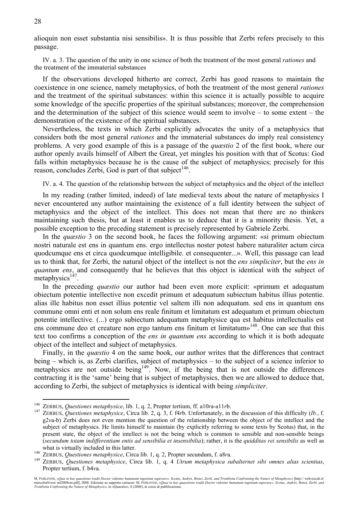alioquin non esset substantia nisi sensibilis». It is thus possible that Zerbi refers precisely to this passage.

IV. a. 3. The question of the unity in one science of both the treatment of the most general *rationes* and the treatment of the immaterial substances

If the observations developed hitherto are correct, Zerbi has good reasons to maintain the coexistence in one science, namely metaphysics, of both the treatment of the most general *rationes* and the treatment of the spiritual substances: within this science it is actually possible to acquire some knowledge of the specific properties of the spiritual substances; moreover, the comprehension and the determination of the subject of this science would seem to involve – to some extent – the demonstration of the existence of the spiritual substances.

Nevertheless, the texts in which Zerbi explicitly advocates the unity of a metaphysics that considers both the most general *rationes* and the immaterial substances do imply real consistency problems. A very good example of this is a passage of the *quæstio* 2 of the first book, where our author openly avails himself of Albert the Great, yet mingles his position with that of Scotus: God falls within metaphysics because he is the cause of the subject of metaphysics; precisely for this reason, concludes Zerbi, God is part of that subject<sup>146</sup>.

IV. a. 4. The question of the relationship between the subject of metaphysics and the object of the intellect

In my reading (rather limited, indeed) of late medieval texts about the nature of metaphysics I never encountered any author maintaining the existence of a full identity between the subject of metaphysics and the object of the intellect. This does not mean that there are no thinkers maintaining such thesis, but at least it enables us to deduce that it is a minority thesis. Yet, a possible exception to the preceding statement is precisely represented by Gabriele Zerbi.

In the *quæstio* 3 on the second book, he faces the following argument: «si primum obiectum nostri naturale est ens in quantum ens. ergo intellectus noster potest habere naturaliter actum circa quodcumque ens et circa quodcumque intelligibile. et consequenter...». Well, this passage can lead us to think that, for Zerbi, the natural object of the intellect is not the *ens simpliciter*, but the *ens in quantum ens*, and consequently that he believes that this object is identical with the subject of metaphysics $147$ .

In the preceding *quæstio* our author had been even more explicit: «primum et adequatum obiectum potentie intellective non excedit primum et adequatum subiectum habitus illius potentie. alias ille habitus non esset illius potentie vel saltem illi non adequatum. sed ens in quantum ens commune omni enti et non solum ens reale finitum et limitatum est adequatum et primum obiectum potentie intellective. (...) ergo subiectum adequatum metaphysice qua est habitus intellectualis est ens commune deo et creature non ergo tantum ens finitum et limitatum»<sup>148</sup>. One can see that this text too confirms a conception of the *ens in quantum ens* according to which it is both adequate object of the intellect and subject of metaphysics.

Finally, in the *quæstio* 4 on the same book, our author writes that the differences that contract being – which is, as Zerbi clarifies, subject of metaphysics – to the subject of a science inferior to metaphysics are not outside being<sup>149</sup>. Now, if the being that is not outside the differences contracting it is the 'same' being that is subject of metaphysics, then we are allowed to deduce that, according to Zerbi, the subject of metaphysics is identical with being *simpliciter*.

M. FORLIVESI, «Quæ in hac quæstione tradit Doctor videntur humanum ingenium superare». Scotus, Andrés, Bonet, Zerbi, and Trombetta Confronting the Nature of Metaphysics [http:// web.tiscali.it/<br>marcoforlivesi/ mi2008cm.pdf

<sup>&</sup>lt;sup>146</sup> ZERBUS, *Questiones metaphysice*, lib. 1, q. 2, Propter tertium, ff. a10ra-a11rb.<br><sup>147</sup> ZERBUS, *Questiones metaphysice*, Circa lib. 2, q. 3, f. f4rb. Unfortunately, in the discussion of this difficulty (*Ib.*, f. g2*v*a-b) Zerbi does not even mention the question of the relationship between the object of the intellect and the subject of metaphysics. He limits himself to maintain (by explicitly referring to some texts by Scotus) that, in the present state, the object of the intellect is not the being which is common to sensible and non-sensible beings (*secundum totam indifferentiam entis ad sensibilia et insensibilia*); rather, it is the *quidditas rei sensibilis* as well as

what is virtually included in this latter.<br><sup>148</sup> ZERBUS, *Questiones metaphysice*, Circa lib. 1, q. 2, Propter secundum, f. a8ra.<br><sup>149</sup> ZERBUS, *Questiones metaphysice*, Circa lib. 1, q. 4 *Utrum metaphysica subalternet si* Propter tertium, f. b4*v*a.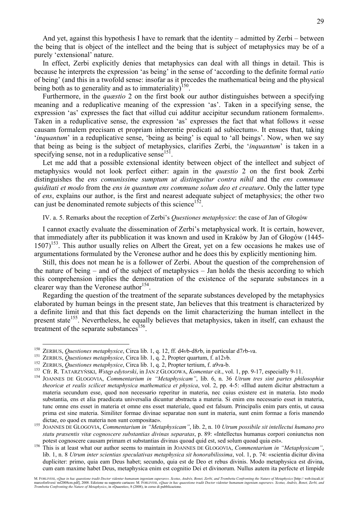And yet, against this hypothesis I have to remark that the identity – admitted by Zerbi – between the being that is object of the intellect and the being that is subject of metaphysics may be of a purely 'extensional' nature.

In effect, Zerbi explicitly denies that metaphysics can deal with all things in detail. This is because he interprets the expression 'as being' in the sense of 'according to the definite formal *ratio* of being' (and this in a twofold sense: insofar as it precedes the mathematical being and the physical being both as to generality and as to immateriality)<sup>150</sup>.

Furthermore, in the *quæstio* 2 on the first book our author distinguishes between a specifying meaning and a reduplicative meaning of the expression 'as'. Taken in a specifying sense, the expression 'as' expresses the fact that «illud cui additur accipitur secundum rationem formalem». Taken in a reduplicative sense, the expression 'as' expresses the fact that what follows it «esse causam formalem precisam et propriam inherentie predicati ad subiectum». It ensues that, taking '*inquantum*' in a reduplicative sense, 'being as being' is equal to 'all beings'. Now, when we say that being as being is the subject of metaphysics, clarifies Zerbi, the '*inquantum*' is taken in a specifying sense, not in a reduplicative sense  $151$ .

Let me add that a possible extensional identity between object of the intellect and subject of metaphysics would not look perfect either: again in the *quæstio* 2 on the first book Zerbi distinguishes the *ens comunissime sumptum ut distinguitur contra nihil* and the *ens commune quiditati et modo* from the *ens in quantum ens commune solum deo et creature*. Only the latter type of *ens*, explains our author, is the first and nearest adequate subject of metaphysics; the other two can just be denominated remote subjects of this science<sup>152</sup>.

IV. a. 5. Remarks about the reception of Zerbi's *Questiones metaphysice*: the case of Jan of Głogów

I cannot exactly evaluate the dissemination of Zerbi's metaphysical work. It is certain, however, that immediately after its pubblication it was known and used in Kraków by Jan of Głogów (1445- 1507)<sup>153</sup>. This author usually relies on Albert the Great, yet on a few occasions he makes use of argumentations formulated by the Veronese author and he does this by explicitly mentioning him.

Still, this does not mean he is a follower of Zerbi. About the question of the comprehension of the nature of being – and of the subject of metaphysics – Jan holds the thesis according to which this comprehension implies the demonstration of the existence of the separate substances in a clearer way than the Veronese author<sup>154</sup>.

Regarding the question of the treatment of the separate substances developed by the metaphysics elaborated by human beings in the present state, Jan believes that this treatment is characterized by a definite limit and that this fact depends on the limit characterizing the human intellect in the present state<sup>155</sup>. Nevertheless, he equally believes that metaphysics, taken in itself, can exhaust the treatment of the separate substances<sup>156</sup>.

<sup>&</sup>lt;sup>150</sup> ZERBUS, Questiones metaphysice, Circa lib. 1, q. 12, ff. d4vb-d8rb, in particular d7rb-va.<br><sup>151</sup> ZERBUS, Questiones metaphysice, Circa lib. 1, q. 2, Propter quartum, f. a12vb.<br><sup>152</sup> ZERBUS, Questiones metaphysice, C *theoricæ et realis scilicet metaphysica mathematica et physica*, vol. 2, pp. 4-5: «Illud autem dicitur abstractum a materia secundum esse, quod non necessario reperitur in materia, nec cuius existere est in materia. Isto modo substantia, ens et alia praedicata universalia dicuntur abstracta a materia. Si enim ens necessario esset in materia, tunc omne ens esset in materia et omne ens esset materiale, quod est falsum. Principalis enim pars entis, ut causa prima est sine materia. Similiter formae divinae separatae non sunt in materia, sunt enim formae a foris manendo dictae, eo quod ex materia non sunt compositae». 155 JOANNES DE GLOGOVIA, *Commentarium in "Metaphysicam"*, lib. 2, n. 10 *Utrum possibile sit intellectui humano pro* 

*statu præsentis vitæ cognoscere substantias divinas separatas*, p. 89: «Intellectus humanus corpori coniunctus non

potest cognoscere causam primam et substantias divinas quoad quid est, sed solum quoad quia est». 156 This is at least what our author seems to maintain in JOANNES DE GLOGOVIA, *Commentarium in "Metaphysicam"*, lib. 1, n. 8 *Utrum inter scientias speculativas metaphysica sit honorabilissima*, vol. 1, p. 74: «scientia dicitur divina dupliciter: primo, quia eam Deus habet; secundo, quia est de Deo et rebus divinis. Modo metaphysica est divina, cum eam maxime habet Deus, metaphysica enim est cognitio Dei et divinorum. Nullus autem ita perfecte et limpide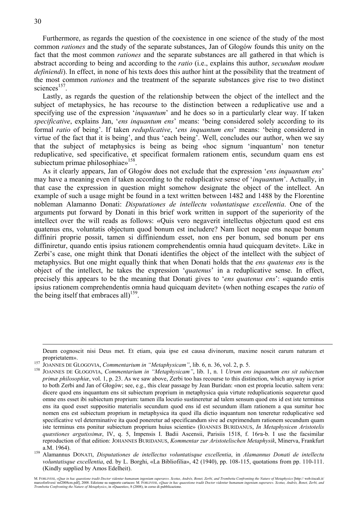Furthermore, as regards the question of the coexistence in one science of the study of the most common *rationes* and the study of the separate substances, Jan of Głogów founds this unity on the fact that the most common *rationes* and the separate substances are all gathered in that which is abstract according to being and according to the *ratio* (i.e., explains this author, *secundum modum definiendi*). In effect, in none of his texts does this author hint at the possibility that the treatment of the most common *rationes* and the treatment of the separate substances give rise to two distinct sciences<sup>157</sup>.

Lastly, as regards the question of the relationship between the object of the intellect and the subject of metaphysics, he has recourse to the distinction between a reduplicative use and a specifying use of the expression '*inquantum*' and he does so in a particularly clear way. If taken *specificative*, explains Jan, '*ens inquantum ens*' means: 'being considered solely according to its formal *ratio* of being'. If taken *reduplicative*, '*ens inquantum ens*' means: 'being considered in virtue of the fact that it is being', and thus 'each being'. Well, concludes our author, when we say that the subject of metaphysics is being as being «hoc signum 'inquantum' non tenetur reduplicative, sed specificative, et specificat formalem rationem entis, secundum quam ens est subiectum primae philosophiae»<sup>158</sup>.

As it clearly appears, Jan of Głogów does not exclude that the expression '*ens inquantum ens*' may have a meaning even if taken according to the reduplicative sense of '*inquantum*'. Actually, in that case the expression in question might somehow designate the object of the intellect. An example of such a usage might be found in a text written between 1482 and 1488 by the Florentine nobleman Alamanno Donati: *Disputationes de intellectu voluntatisque excellentia*. One of the arguments put forward by Donati in this brief work written in support of the superiority of the intellect over the will reads as follows: «Quis vero negaverit intellectus objectum quod est ens quatenus ens, voluntatis objectum quod bonum est includere? Nam licet neque ens neque bonum diffiniri proprie possit, tamen si diffiniendum esset, non ens per bonum, sed bonum per ens diffiniretur, quando entis ipsius rationem comprehendentis omnia haud quicquam devitet». Like in Zerbi's case, one might think that Donati identifies the object of the intellect with the subject of metaphysics. But one might equally think that when Donati holds that the *ens quatenus ens* is the object of the intellect, he takes the expression '*quatenus*' in a reduplicative sense. In effect, precisely this appears to be the meaning that Donati gives to '*ens quatenus ens*': «quando entis ipsius rationem comprehendentis omnia haud quicquam devitet» (when nothing escapes the *ratio* of the being itself that embraces all $1^{159}$ .

30

Deum cognoscit nisi Deus met. Et etiam, quia ipse est causa divinorum, maxime noscit earum naturam et

<sup>&</sup>lt;sup>157</sup> JOANNES DE GLOGOVIA, Commentarium in "Metaphysicam", lib. 6, n. 36, vol. 2, p. 5.<br><sup>158</sup> JOANNES DE GLOGOVIA, Commentarium in "Metaphysicam", lib. 1, n. 1 Utrum ens inquantum ens sit subiectum *primæ philosophiæ*, vol. 1, p. 23. As we saw above, Zerbi too has recourse to this distinction, which anyway is prior to both Zerbi and Jan of Głogów; see, e.g., this clear passage by Jean Buridan: «non est propria locutio. saltem vera: dicere quod ens inquantum ens sit subiectum proprium in metaphysica quia virtute reduplicationis sequeretur quod omne ens esset ibi subiectum proprium: tamen illa locutio sustineretur ad talem sensum quod ens id est iste terminus ens ita quod esset suppositio materialis secundum quod ens id est secundum illam rationem a qua sumitur hoc nomen ens est subiectum proprium in metaphysica ita quod illa dictio inquantum non teneretur reduplicative sed specificative vel determinative ita quod poneretur ad specificandum sive ad exprimendum rationem secundum quam iste terminus ens ponitur subiectum proprium huius scientie» (IOANNES BURIDANUS, *In Metaphysicen Aristotelis quæstiones argutissimæ*, IV, q. 5, Impensis I. Badii Ascensii, Parisiis 1518, f. 16*r*a-b. I use the facsimilar reproduction of that edition: JOHANNES BURIDANUS, *Kommentar zur Aristotelischen Metaphysik*, Minerva, Frankfurt

a.M. 1964). 159 Alamannus DONATI, *Disputationes de intellectus voluntatisque excellentia*, in *Alamannus Donati de intellectu voluntatisque excellentia*, ed. by L. Borghi, «La Bibliofilia», 42 (1940), pp. 108-115, quotations from pp. 110-111. (Kindly supplied by Amos Edelheit).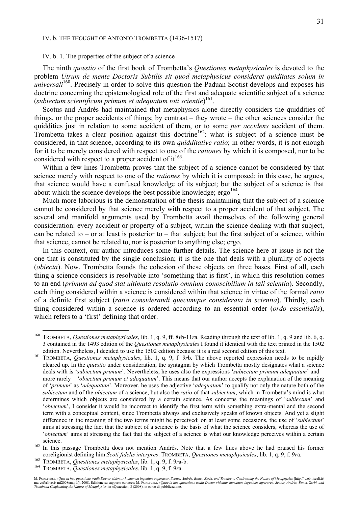#### IV. b. THE THOUGHT OF ANTONIO TROMBETTA (1436-1517)

#### IV. b. 1. The properties of the subject of a science

The ninth *quæstio* of the first book of Trombetta's *Questiones metaphysicales* is devoted to the problem *Utrum de mente Doctoris Subtilis sit quod metaphysicus consideret quiditates solum in universali*<sup>160</sup>. Precisely in order to solve this question the Paduan Scotist develops and exposes his doctrine concerning the epistemological role of the first and adequate scientific subject of a science (*subiectum scientificum primum et adequatum toti scientie*) 161.

Scotus and Andrés had maintained that metaphysics alone directly considers the quiddities of things, or the proper accidents of things; by contrast – they wrote – the other sciences consider the quiddities just in relation to some accident of them, or to some *per accidens* accident of them. Trombetta takes a clear position against this doctrine<sup>162</sup>: what is subject of a science must be considered, in that science, according to its own *quidditative ratio*; in other words, it is not enough for it to be merely considered with respect to one of the *rationes* by which it is composed, nor to be considered with respect to a proper accident of  $it^{163}$ .

Within a few lines Trombetta proves that the subject of a science cannot be considered by that science merely with respect to one of the *rationes* by which it is composed: in this case, he argues, that science would have a confused knowledge of its subject; but the subject of a science is that about which the science develops the best possible knowledge;  $ergo<sup>164</sup>$ .

Much more laborious is the demonstration of the thesis maintaining that the subject of a science cannot be considered by that science merely with respect to a proper accident of that subject. The several and manifold arguments used by Trombetta avail themselves of the following general consideration: every accident or property of a subject, within the science dealing with that subject, can be related to – or at least is posterior to – that subject; but the first subject of a science, within that science, cannot be related to, nor is posterior to anything else; ergo.

In this context, our author introduces some further details. The science here at issue is not the one that is constituted by the single conclusion; it is the one that deals with a plurality of objects (*obiecta*). Now, Trombetta founds the cohesion of these objects on three bases. First of all, each thing a science considers is resolvable into 'something that is first', in which this resolution comes to an end (*primum ad quod stat ultimata resolutio omnium conoscibilium in tali scientia*). Secondly, each thing considered within a science is considered within that science in virtue of the formal *ratio* of a definite first subject (*ratio considerandi quecumque considerata in scientia*). Thirdly, each thing considered within a science is ordered according to an essential order (*ordo essentialis*), which refers to a 'first' defining that order.

 <sup>160</sup> TROMBETA, *Questiones metaphysicales*, lib. 1, q. 9, ff. 8*v*b-11*r*a. Reading through the text of lib. 1, q. 9 and lib. 6, q. 3 contained in the 1493 edition of the *Questiones metaphysicales* I found it identical with the text printed in the 1502

edition. Nevertheless, I decided to use the 1502 edition because it is a real second edition of this text.<br><sup>161</sup> TROMBETA, *Questiones metaphysicales*, lib. 1, q. 9, f. 9rb. The above reported expression needs to be rapidl cleared up. In the *quæstio* under consideration, the syntagma by which Trombetta mostly designates what a science deals with is '*subiectum primum*'. Nevertheless, he uses also the expressions '*subiectum primum adequatum*' and – more rarely – '*obiectum primum et adequatum*'. This means that our author accepts the explanation of the meaning of '*primum*' as '*adequatum*'. Moreover, he uses the adjective '*adequatum*' to qualify not only the nature both of the *subiectum* and of the *obiectum* of a science, but also the *ratio* of that *subiectum*, which in Trombetta's mind is what determines which objects are considered by a certain science. As concerns the meanings of '*subiectum*' and '*obiectum*', I consider it would be incorrect to identify the first term with something extra-mental and the second term with a conceptual content, since Trombetta always and exclusively speaks of known objects. And yet a slight difference in the meaning of the two terms might be perceived: on at least some occasions, the use of '*subiectum*' aims at stressing the fact that the subject of a science is the basis of what the science considers, whereas the use of '*obiectum*' aims at stressing the fact that the subject of a science is what our knowledge perceives within a certain science.<br><sup>162</sup> In this passage Trombetta does not mention Andrés. Note that a few lines above he had praised his former

coreligionist defining him *Scoti fidelis interpres*: TROMBETA, *Questiones metaphysicales*, lib. 1, q. 9, f. 9ra.<br><sup>163</sup> TROMBETA, *Questiones metaphysicales*, lib. 1, q. 9, f. 9ra-b.<br><sup>164</sup> TROMBETA, *Questiones metaphysic*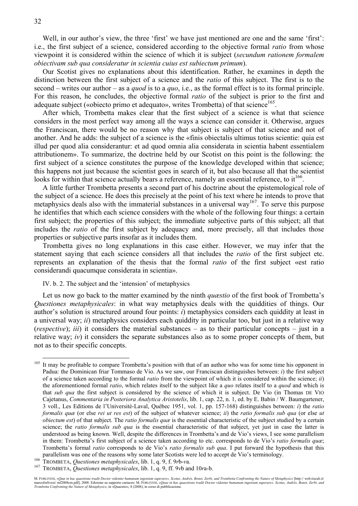Well, in our author's view, the three 'first' we have just mentioned are one and the same 'first': i.e., the first subject of a science, considered according to the objective formal *ratio* from whose viewpoint it is considered within the science of which it is subject (*secundum rationem formalem obiectivam sub qua consideratur in scientia cuius est subiectum primum*).

Our Scotist gives no explanations about this identification. Rather, he examines in depth the distinction between the first subject of a science and the *ratio* of this subject. The first is to the second – writes our author – as a *quod* is to a *quo*, i.e., as the formal effect is to its formal principle. For this reason, he concludes, the objective formal *ratio* of the subject is prior to the first and adequate subject («obiecto primo et adequato», writes Trombetta) of that science<sup>165</sup>.

After which, Trombetta makes clear that the first subject of a science is what that science considers in the most perfect way among all the ways a science can consider it. Otherwise, argues the Franciscan, there would be no reason why that subject is subject of that science and not of another. And he adds: the subject of a science is the «finis obiectalis ultimus totius scientie: quia est illud per quod alia considerantur: et ad quod omnia alia considerata in scientia habent essentialem attributionem». To summarize, the doctrine held by our Scotist on this point is the following: the first subject of a science constitutes the purpose of the knowledge developed within that science; this happens not just because the scientist goes in search of it, but also because all that the scientist looks for within that science actually bears a reference, namely an essential reference, to it<sup>166</sup>.

A little further Trombetta presents a second part of his doctrine about the epistemological role of the subject of a science. He does this precisely at the point of his text where he intends to prove that metaphysics deals also with the immaterial substances in a universal way<sup>167</sup>. To serve this purpose he identifies that which each science considers with the whole of the following four things: a certain first subject; the properties of this subject; the immediate subjective parts of this subject; all that includes the *ratio* of the first subject by adequacy and, more precisely, all that includes those properties or subjective parts insofar as it includes them.

Trombetta gives no long explanations in this case either. However, we may infer that the statement saying that each science considers all that includes the *ratio* of the first subject etc. represents an explanation of the thesis that the formal *ratio* of the first subject «est ratio considerandi quacumque considerata in scientia».

IV. b. 2. The subject and the 'intension' of metaphysics

Let us now go back to the matter examined by the ninth *quæstio* of the first book of Trombetta's *Questiones metaphysicales*: in what way metaphysics deals with the quiddities of things. Our author's solution is structured around four points: *i*) metaphysics considers each quiddity at least in a universal way; *ii*) metaphysics considers each quiddity in particular too, but just in a relative way (*respective*); *iii*) it considers the material substances – as to their particular concepts – just in a relative way; *iv*) it considers the separate substances also as to some proper concepts of them, but not as to their specific concepts.

<sup>&</sup>lt;sup>165</sup> It may be profitable to compare Trombetta's position with that of an author who was for some time his opponent in Padua: the Dominican friar Tommaso de Vio. As we saw, our Franciscan distinguishes between: *i*) the first subject of a science taken according to the formal *ratio* from the viewpoint of which it is considered within the science; *ii*) the aforementioned formal *ratio*, which relates itself to the subject like a *quo* relates itself to a *quod* and which is that *sub qua* the first subject is considered by the science of which it is subject. De Vio (in Thomas DE VIO Cajetanus, *Commentaria in Posteriora Analytica Aristotelis*, lib. 1, cap. 22, n. 1, ed. by E. Babin / W. Baumgartener, 3 voll., Les Editions de l'Université-Laval, Québec 1951, vol. 1, pp. 157-168) distinguishes between: *i*) the *ratio formalis quæ* (or else *rei ut res est*) of the subject of whatever science; *ii*) the *ratio formalis sub qua* (or else *ut obiectum est*) of that subject. The *ratio formalis quæ* is the essential characteristic of the subject studied by a certain science; the *ratio formalis sub qua* is the essential characteristic of that subject, yet just in case the latter is understood as being known. Well, despite the differences in Trombetta's and de Vio's views, I see some parallelism in them: Trombetta's first subject of a science taken according to etc. corresponds to de Vio's *ratio formalis quæ*; Trombetta's formal *ratio* corresponds to de Vio's *ratio formalis sub qua*. I put forward the hypothesis that this parallelism was one of the reasons why some later Scotists were led to accept de Vio's terminology.<br><sup>166</sup> TROMBETA, *Questiones metaphysicales*, lib. 1, q. 9, f. 9rb-va.<br><sup>167</sup> TROMBETA, *Questiones metaphysicales*, lib. 1,

M. FORLIVESI, «Quæ in hac quæstione tradit Doctor videntur humanum ingenium superare». Scotus, Andrés, Bonet, Zerbi, and Trombetta Confronting the Nature of Metaphysics [http:// web.tiscali.it/<br>marcoforlivesi/ mi2008cm.pdf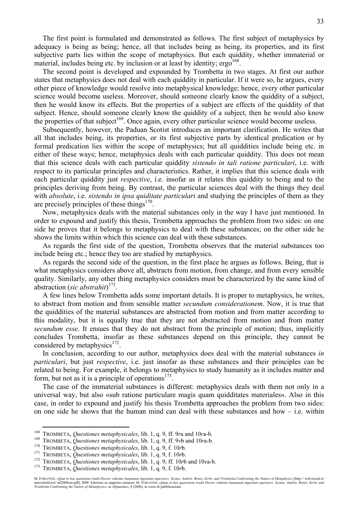The first point is formulated and demonstrated as follows. The first subject of metaphysics by adequacy is being as being; hence, all that includes being as being, its properties, and its first subjective parts lies within the scope of metaphysics. But each quiddity, whether immaterial or material, includes being etc. by inclusion or at least by identity;  $\text{ergo}^{168}$ .

The second point is developed and expounded by Trombetta in two stages. At first our author states that metaphysics does not deal with each quiddity in particular. If it were so, he argues, every other piece of knowledge would resolve into metaphysical knowledge; hence, every other particular science would become useless. Moreover, should someone clearly know the quiddity of a subject, then he would know its effects. But the properties of a subject are effects of the quiddity of that subject. Hence, should someone clearly know the quiddity of a subject, then he would also know the properties of that subject<sup>169</sup>. Once again, every other particular science would become useless.

Subsequently, however, the Paduan Scotist introduces an important clarification. He writes that all that includes being, its properties, or its first subjective parts by identical predication or by formal predication lies within the scope of metaphysics; but all quiddities include being etc. in either of these ways; hence, metaphysics deals with each particular quiddity. This does not mean that this science deals with each particular quiddity *sistendo in tali ratione particulari*, i.e. with respect to its particular principles and characteristics. Rather, it implies that this science deals with each particular quiddity just *respective*, i.e. insofar as it relates this quiddity to being and to the principles deriving from being. By contrast, the particular sciences deal with the things they deal with *absolute*, i.e. *sistendo in ipsa quiditate particulari* and studying the principles of them as they are precisely principles of these things<sup>170</sup>.

Now, metaphysics deals with the material substances only in the way I have just mentioned. In order to expound and justify this thesis, Trombetta approaches the problem from two sides: on one side he proves that it belongs to metaphysics to deal with these substances; on the other side he shows the limits within which this science can deal with these substances.

As regards the first side of the question, Trombetta observes that the material substances too include being etc.; hence they too are studied by metaphysics.

As regards the second side of the question, in the first place he argues as follows. Being, that is what metaphysics considers above all, abstracts from motion, from change, and from every sensible quality. Similarly, any other thing metaphysics considers must be characterized by the same kind of abstraction (*sic abstrahit*) 171.

A few lines below Trombetta adds some important details. It is proper to metaphysics, he writes, to abstract from motion and from sensible matter *secundum considerationem*. Now, it is true that the quiddities of the material substances are abstracted from motion and from matter according to this modality, but it is equally true that they are not abstracted from motion and from matter *secundum esse*. It ensues that they do not abstract from the principle of motion; thus, implicitly concludes Trombetta, insofar as these substances depend on this principle, they cannot be considered by metaphysics $172$ .

In conclusion, according to our author, metaphysics does deal with the material substances *in particulari*, but just *respective*, i.e. just insofar as these substances and their principles can be related to being. For example, it belongs to metaphysics to study humanity as it includes matter and form, but not as it is a principle of operations $173$ .

The case of the immaterial substances is different: metaphysics deals with them not only in a universal way, but also «sub ratione particulare magis quam quidditates materiales». Also in this case, in order to expound and justify his thesis Trombetta approaches the problem from two sides: on one side he shows that the human mind can deal with these substances and how  $-$  i.e. within

<sup>&</sup>lt;sup>168</sup> TROMBETA, *Questiones metaphysicales*, lib. 1, q. 9, ff. 9ra and 10ra-b.<br><sup>169</sup> TROMBETA, *Questiones metaphysicales*, lib. 1, q. 9, ff. 9vb and 10ra-b.<br><sup>170</sup> TROMBETA, *Questiones metaphysicales*, lib. 1, q. 9, f. 1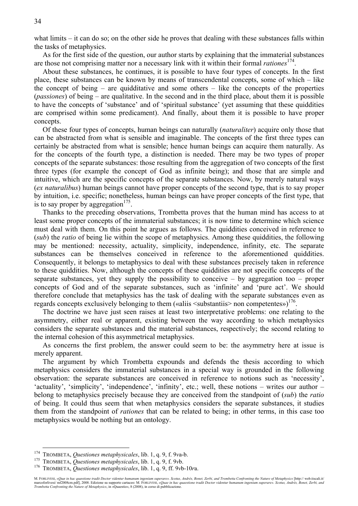what limits – it can do so; on the other side he proves that dealing with these substances falls within the tasks of metaphysics.

As for the first side of the question, our author starts by explaining that the immaterial substances are those not comprising matter nor a necessary link with it within their formal *rationes*174.

About these substances, he continues, it is possible to have four types of concepts. In the first place, these substances can be known by means of transcendental concepts, some of which – like the concept of being – are quidditative and some others – like the concepts of the properties (*passiones*) of being – are qualitative. In the second and in the third place, about them it is possible to have the concepts of 'substance' and of 'spiritual substance' (yet assuming that these quiddities are comprised within some predicament). And finally, about them it is possible to have proper concepts.

Of these four types of concepts, human beings can naturally (*naturaliter*) acquire only those that can be abstracted from what is sensible and imaginable. The concepts of the first three types can certainly be abstracted from what is sensible; hence human beings can acquire them naturally. As for the concepts of the fourth type, a distinction is needed. There may be two types of proper concepts of the separate substances: those resulting from the aggregation of two concepts of the first three types (for example the concept of God as infinite being); and those that are simple and intuitive, which are the specific concepts of the separate substances. Now, by merely natural ways (*ex naturalibus*) human beings cannot have proper concepts of the second type, that is to say proper by intuition, i.e. specific; nonetheless, human beings can have proper concepts of the first type, that is to say proper by aggregation  $175$ .

Thanks to the preceding observations, Trombetta proves that the human mind has access to at least some proper concepts of the immaterial substances; it is now time to determine which science must deal with them. On this point he argues as follows. The quiddities conceived in reference to (*sub*) the *ratio* of being lie within the scope of metaphysics. Among these quiddities, the following may be mentioned: necessity, actuality, simplicity, independence, infinity, etc. The separate substances can be themselves conceived in reference to the aforementioned quiddities. Consequently, it belongs to metaphysics to deal with these substances precisely taken in reference to these quiddities. Now, although the concepts of these quiddities are not specific concepts of the separate substances, yet they supply the possibility to conceive  $-$  by aggregation too  $-$  proper concepts of God and of the separate substances, such as 'infinite' and 'pure act'. We should therefore conclude that metaphysics has the task of dealing with the separate substances even as regards concepts exclusively belonging to them («aliis  $\langle$  substantiis non competentes»)<sup>176</sup>.

The doctrine we have just seen raises at least two interpretative problems: one relating to the asymmetry, either real or apparent, existing between the way according to which metaphysics considers the separate substances and the material substances, respectively; the second relating to the internal cohesion of this asymmetrical metaphysics.

As concerns the first problem, the answer could seem to be: the asymmetry here at issue is merely apparent.

The argument by which Trombetta expounds and defends the thesis according to which metaphysics considers the immaterial substances in a special way is grounded in the following observation: the separate substances are conceived in reference to notions such as 'necessity', 'actuality', 'simplicity', 'independence', 'infinity', etc.; well, these notions – writes our author – belong to metaphysics precisely because they are conceived from the standpoint of (*sub*) the *ratio* of being. It could thus seem that when metaphysics considers the separate substances, it studies them from the standpoint of *rationes* that can be related to being; in other terms, in this case too metaphysics would be nothing but an ontology.

<sup>&</sup>lt;sup>174</sup> TROMBETA, *Questiones metaphysicales*, lib. 1, q. 9, f. 9va-b.<br><sup>175</sup> TROMBETA, *Questiones metaphysicales*, lib. 1, q. 9, f. 9vb.<br><sup>176</sup> TROMBETA, *Questiones metaphysicales*, lib. 1, q. 9, ff. 9vb-10ra.

M. FORLIVESI, «Quæ in hac quæstione tradit Doctor videntur humanum ingenium superare». Scotus, Andrés, Bonet, Zerbi, and Trombetta Confronting the Nature of Metaphysics [http:// web.tiscali.it/<br>marcoforlivesi/ mi2008cm.pdf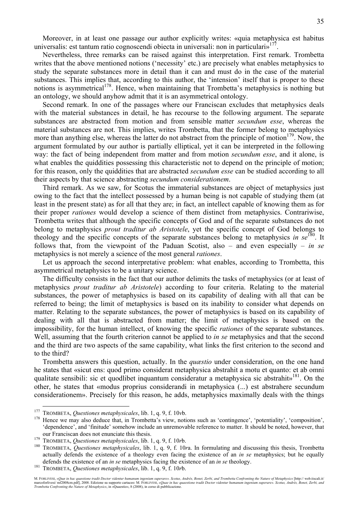Moreover, in at least one passage our author explicitly writes: «quia metaphysica est habitus universalis: est tantum ratio cognoscendi obiecta in universali: non in particulari»<sup>177</sup>.

Nevertheless, three remarks can be raised against this interpretation. First remark. Trombetta writes that the above mentioned notions ('necessity' etc.) are precisely what enables metaphysics to study the separate substances more in detail than it can and must do in the case of the material substances. This implies that, according to this author, the 'intension' itself that is proper to these notions is asymmetrical<sup>178</sup>. Hence, when maintaining that Trombetta's metaphysics is nothing but an ontology, we should anyhow admit that it is an asymmetrical ontology.

Second remark. In one of the passages where our Franciscan excludes that metaphysics deals with the material substances in detail, he has recourse to the following argument. The separate substances are abstracted from motion and from sensible matter *secundum esse*, whereas the material substances are not. This implies, writes Trombetta, that the former belong to metaphysics more than anything else, whereas the latter do not abstract from the principle of motion $179$ . Now, the argument formulated by our author is partially elliptical, yet it can be interpreted in the following way: the fact of being independent from matter and from motion *secundum esse*, and it alone, is what enables the quiddities possessing this characteristic not to depend on the principle of motion; for this reason, only the quiddities that are abstracted *secundum esse* can be studied according to all their aspects by that science abstracting *secundum considerationem*.

Third remark. As we saw, for Scotus the immaterial substances are object of metaphysics just owing to the fact that the intellect possessed by a human being is not capable of studying them (at least in the present state) as for all that they are; in fact, an intellect capable of knowing them as for their proper *rationes* would develop a science of them distinct from metaphysics. Contrariwise, Trombetta writes that although the specific concepts of God and of the separate substances do not belong to metaphysics *prout traditur ab Aristotele*, yet the specific concept of God belongs to theology and the specific concepts of the separate substances belong to metaphysics *in se*180. It follows that, from the viewpoint of the Paduan Scotist, also – and even especially – *in se* metaphysics is not merely a science of the most general *rationes*.

Let us approach the second interpretative problem: what enables, according to Trombetta, this asymmetrical metaphysics to be a unitary science.

The difficulty consists in the fact that our author delimits the tasks of metaphysics (or at least of metaphysics *prout traditur ab Aristotele*) according to four criteria. Relating to the material substances, the power of metaphysics is based on its capability of dealing with all that can be referred to being; the limit of metaphysics is based on its inability to consider what depends on matter. Relating to the separate substances, the power of metaphysics is based on its capability of dealing with all that is abstracted from matter; the limit of metaphysics is based on the impossibility, for the human intellect, of knowing the specific *rationes* of the separate substances. Well, assuming that the fourth criterion cannot be applied to *in se* metaphysics and that the second and the third are two aspects of the same capability, what links the first criterion to the second and to the third?

Trombetta answers this question, actually. In the *quæstio* under consideration, on the one hand he states that «sicut ens: quod primo considerat metaphysica abstrahit a motu et quanto: et ab omni qualitate sensibili: sic et quodlibet inquantum consideratur a metaphysica sic abstrahit $y^{181}$ . On the other, he states that «modus proprius considerandi in metaphysica (...) est abstrahere secundum considerationem». Precisely for this reason, he adds, metaphysics maximally deals with the things

<sup>&</sup>lt;sup>177</sup> TROMBETA, *Questiones metaphysicales*, lib. 1, q. 9, f. 10*v*b.<br><sup>178</sup> Hence we may also deduce that, in Trombetta's view, notions such as 'contingence', 'potentiality', 'composition', 'dependence', and 'finitude' somehow include an unremovable reference to matter. It should be noted, however, that our Franciscan does not enunciate this thesis.<br><sup>179</sup> TROMBETA, *Questiones metaphysicales*, lib. 1, q. 9, f. 10*rb*.<br><sup>180</sup> TROMBETA, *Questiones metaphysicales*, lib. 1, q. 9, f. 10*ra*. In formulating and discussing this

actually defends the existence of a theology even facing the existence of an *in se* metaphysics; but he equally defends the existence of an *in se* metaphysics facing the existence of an *in se* theology. 181 TROMBETA, *Questiones metaphysicales*, lib. 1, q. 9, f. 10*r*b.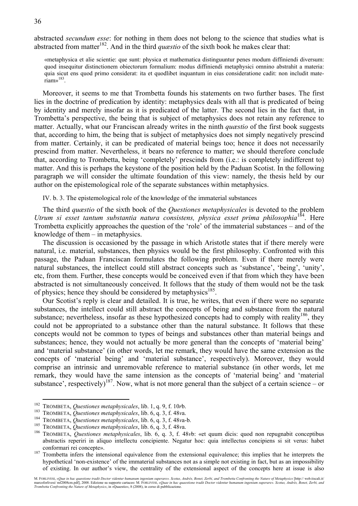abstracted *secundum esse*: for nothing in them does not belong to the science that studies what is abstracted from matter<sup>182</sup>. And in the third *quæstio* of the sixth book he makes clear that:

«metaphysica et alie scientie: que sunt: physica et mathematica distinguuntur penes modum diffiniendi diversum: quod insequitur distinctionem obiectorum formalium: modus diffiniendi metaphysici omnino abstrahit a materia: quia sicut ens quod primo considerat: ita et quodlibet inquantum in eius consideratione cadit: non includit mate $riam<sup>183</sup>$ .

Moreover, it seems to me that Trombetta founds his statements on two further bases. The first lies in the doctrine of predication by identity: metaphysics deals with all that is predicated of being by identity and merely insofar as it is predicated of the latter. The second lies in the fact that, in Trombetta's perspective, the being that is subject of metaphysics does not retain any reference to matter. Actually, what our Franciscan already writes in the ninth *quæstio* of the first book suggests that, according to him, the being that is subject of metaphysics does not simply negatively prescind from matter. Certainly, it can be predicated of material beings too; hence it does not necessarily prescind from matter. Nevertheless, it bears no reference to matter; we should therefore conclude that, according to Trombetta, being 'completely' prescinds from (i.e.: is completely indifferent to) matter. And this is perhaps the keystone of the position held by the Paduan Scotist. In the following paragraph we will consider the ultimate foundation of this view: namely, the thesis held by our author on the epistemological role of the separate substances within metaphysics.

IV. b. 3. The epistemological role of the knowledge of the immaterial substances

The third *quæstio* of the sixth book of the *Questiones metaphysicales* is devoted to the problem *Utrum si esset tantum substantia natura consistens, physica esset prima philosophia*184. Here Trombetta explicitly approaches the question of the 'role' of the immaterial substances – and of the knowledge of them – in metaphysics.

The discussion is occasioned by the passage in which Aristotle states that if there merely were natural, i.e. material, substances, then physics would be the first philosophy. Confronted with this passage, the Paduan Franciscan formulates the following problem. Even if there merely were natural substances, the intellect could still abstract concepts such as 'substance', 'being', 'unity', etc, from them. Further, these concepts would be conceived even if that from which they have been abstracted is not simultaneously conceived. It follows that the study of them would not be the task of physics; hence they should be considered by metaphysics<sup>185</sup>.

Our Scotist's reply is clear and detailed. It is true, he writes, that even if there were no separate substances, the intellect could still abstract the concepts of being and substance from the natural substance; nevertheless, insofar as these hypothesized concepts had to comply with reality<sup>186</sup>, they could not be appropriated to a substance other than the natural substance. It follows that these concepts would not be common to types of beings and substances other than material beings and substances; hence, they would not actually be more general than the concepts of 'material being' and 'material substance' (in other words, let me remark, they would have the same extension as the concepts of 'material being' and 'material substance', respectively). Moreover, they would comprise an intrinsic and unremovable reference to material substance (in other words, let me remark, they would have the same intension as the concepts of 'material being' and 'material substance', respectively)<sup>187</sup>. Now, what is not more general than the subject of a certain science – or

M. FORLIVESI, «Quæ in hac quæstione tradit Doctor videntur humanum ingenium superare». Scotus, Andrés, Bonet, Zerbi, and Trombetta Confronting the Nature of Metaphysics [http:// web.tiscali.it/<br>marcoforlivesi/ mi2008cm.pdf

<sup>&</sup>lt;sup>182</sup> TROMBETA, *Questiones metaphysicales*, lib. 1, q. 9, f. 10*rb*.<br><sup>183</sup> TROMBETA, *Questiones metaphysicales*, lib. 6, q. 3, f. 48*va*.<br><sup>184</sup> TROMBETA, *Questiones metaphysicales*, lib. 6, q. 3, f. 48*va*-b.<br><sup>185</sup> TRO abstractis reperiri in aliquo intellectu concipiente. Negatur hoc: quia intellectus concipiens si sit verus: habet

conformari rei concepte». 187 Trombetta infers the intensional equivalence from the extensional equivalence; this implies that he interprets the hypothetical 'non-existence' of the immaterial substances not as a simple not existing in fact, but as an impossibility of existing. In our author's view, the centrality of the extensional aspect of the concepts here at issue is also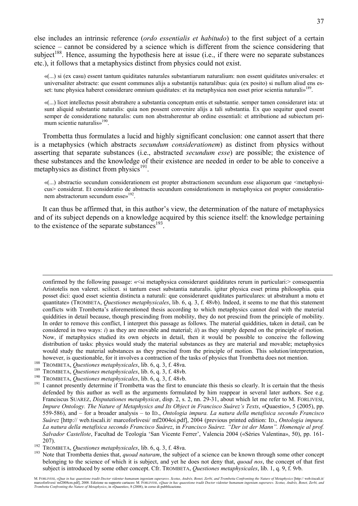else includes an intrinsic reference (*ordo essentialis et habitudo*) to the first subject of a certain science – cannot be considered by a science which is different from the science considering that subject<sup>188</sup>. Hence, assuming the hypothesis here at issue (i.e., if there were no separate substances etc.), it follows that a metaphysics distinct from physics could not exist.

«(...) si (ex casu) essent tantum quiditates naturales substantiarum naturalium: non essent quiditates universales: et universaliter abstracte: que essent communes alijs a substantijs naturalibus: quia (ex posito) si nullum aliud ens esset: tunc physica haberet considerare omnium quiditates: et ita metaphysica non esset prior scientia naturali»189.

«(...) licet intellectus possit abstrahere a substantia conceptum entis et substantie. semper tamen consideraret ista: ut sunt aliquid substantie naturalis: quia non possent convenire alijs a tali substantia. Ex quo sequitur quod essent semper de consideratione naturalis: cum non abstraherentur ab ordine essentiali: et attributione ad subiectum primum scientie naturalis»<sup>190</sup>.

Trombetta thus formulates a lucid and highly significant conclusion: one cannot assert that there is a metaphysics (which abstracts *secundum considerationem*) as distinct from physics without asserting that separate substances (i.e., abstracted *secundum esse*) are possible; the existence of these substances and the knowledge of their existence are needed in order to be able to conceive a metaphysics as distinct from physics<sup>191</sup>.

«(...) abstractio secundum considerationem est propter abstractionem secundum esse aliquorum que <metaphysicus> considerat. Et consideratio de abstractis secundum considerationem in metaphysica est propter considerationem abstractorum secundum esse $v^{192}$ .

It can thus be affirmed that, in this author's view, the determination of the nature of metaphysics and of its subject depends on a knowledge acquired by this science itself: the knowledge pertaining to the existence of the separate substances $193$ .

confirmed by the following passage: «<si metaphysica consideraret quidditates rerum in particulari: > consequentia Aristotelis non valeret. scilicet. si tantum esset substantia naturalis. igitur physica esset prima philosophia. quia posset dici: quod esset scientia distincta a naturali: que consideraret quiditates particulares: ut abstrahunt a motu et quantitate» (TROMBETA, *Questiones metaphysicales*, lib. 6, q. 3, f. 48*v*b). Indeed, it seems to me that this statement conflicts with Trombetta's aforementioned thesis according to which metaphysics cannot deal with the material quiddities in detail because, though prescinding from mobility, they do not prescind from the principle of mobility. In order to remove this conflict, I interpret this passage as follows. The material quiddities, taken in detail, can be considered in two ways: *i*) as they are movable and material; *ii*) as they simply depend on the principle of motion. Now, if metaphysics studied its own objects in detail, then it would be possible to conceive the following distribution of tasks: physics would study the material substances as they are material and movable; metaphysics would study the material substances as they prescind from the principle of motion. This solution/interpretation, however, is questionable, for it involves a contraction of the tasks of physics that Trombetta does not menti

- 
- 
- 

- 
- 207).<br><sup>192</sup> TROMBETA, *Questiones metaphysicales*, lib. 6, q. 3, f. 48*va*.<br><sup>193</sup> Note that Trombetta denies that, *quoad naturam*, the subject of a science can be known through some other concept belonging to the science of which it is subject, and yet he does not deny that, *quoad nos*, the concept of that first subject is introduced by some other concept. Cfr. TROMBETA, *Questiones metaphysicales*, lib. 1, q. 9, f. 9*r*b.

<sup>&</sup>lt;sup>189</sup> TROMBETA, *Questiones metaphysicales*, lib. 6, q. 3, f. 48*va*.<br><sup>189</sup> TROMBETA, *Questiones metaphysicales*, lib. 6, q. 3, f. 48*vb*.<br><sup>190</sup> TROMBETA, *Questiones metaphysicales*, lib. 6, q. 3, f. 48*vb*.<br><sup>191</sup> I can defended by this author as well as the arguments formulated by him reappear in several later authors. See e.g. Franciscus SUAREZ, *Disputationes metaphysicæ*, disp. 2, s. 2, nn. 29-31, about which let me refer to M. FORLIVESI, *Impure Ontology. The Nature of Metaphysics and Its Object in Francisco Suárez's Texts*, «Quaestio», 5 (2005), pp. 559-586), and – for a broader analysis – to ID., *Ontologia impura. La natura della metafisica secondo Francisco Suárez* [http:// web.tiscali.it/ marcoforlivesi/ mf2004oi.pdf], 2004 (previous printed edition: ID., *Ontologia impura. La natura della metafisica secondo Francisco Suárez*, in *Francisco Suárez. "Der ist der Mann". Homenaje al prof. Salvador Castellote*, Facultad de Teología 'San Vicente Ferrer', Valencia 2004 («Sèries Valentina», 50), pp. 161-